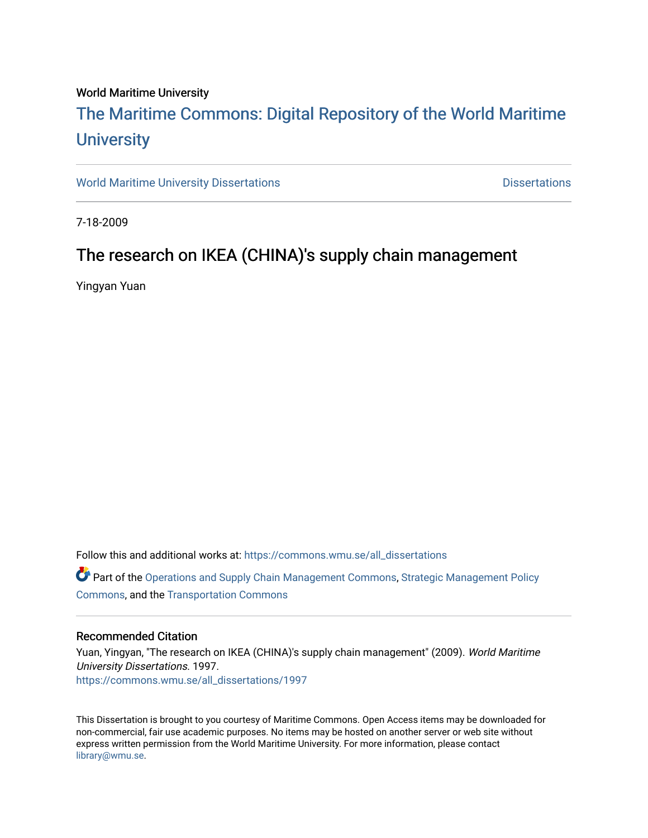#### World Maritime University

# [The Maritime Commons: Digital Repository of the World Maritime](https://commons.wmu.se/)  **University**

[World Maritime University Dissertations](https://commons.wmu.se/all_dissertations) **Example 20 and Taracceretic Contracts** Dissertations

7-18-2009

## The research on IKEA (CHINA)'s supply chain management

Yingyan Yuan

Follow this and additional works at: [https://commons.wmu.se/all\\_dissertations](https://commons.wmu.se/all_dissertations?utm_source=commons.wmu.se%2Fall_dissertations%2F1997&utm_medium=PDF&utm_campaign=PDFCoverPages) 

Part of the [Operations and Supply Chain Management Commons,](http://network.bepress.com/hgg/discipline/1229?utm_source=commons.wmu.se%2Fall_dissertations%2F1997&utm_medium=PDF&utm_campaign=PDFCoverPages) [Strategic Management Policy](http://network.bepress.com/hgg/discipline/642?utm_source=commons.wmu.se%2Fall_dissertations%2F1997&utm_medium=PDF&utm_campaign=PDFCoverPages)  [Commons](http://network.bepress.com/hgg/discipline/642?utm_source=commons.wmu.se%2Fall_dissertations%2F1997&utm_medium=PDF&utm_campaign=PDFCoverPages), and the [Transportation Commons](http://network.bepress.com/hgg/discipline/1068?utm_source=commons.wmu.se%2Fall_dissertations%2F1997&utm_medium=PDF&utm_campaign=PDFCoverPages)

#### Recommended Citation

Yuan, Yingyan, "The research on IKEA (CHINA)'s supply chain management" (2009). World Maritime University Dissertations. 1997. [https://commons.wmu.se/all\\_dissertations/1997](https://commons.wmu.se/all_dissertations/1997?utm_source=commons.wmu.se%2Fall_dissertations%2F1997&utm_medium=PDF&utm_campaign=PDFCoverPages)

This Dissertation is brought to you courtesy of Maritime Commons. Open Access items may be downloaded for non-commercial, fair use academic purposes. No items may be hosted on another server or web site without express written permission from the World Maritime University. For more information, please contact [library@wmu.se](mailto:library@wmu.edu).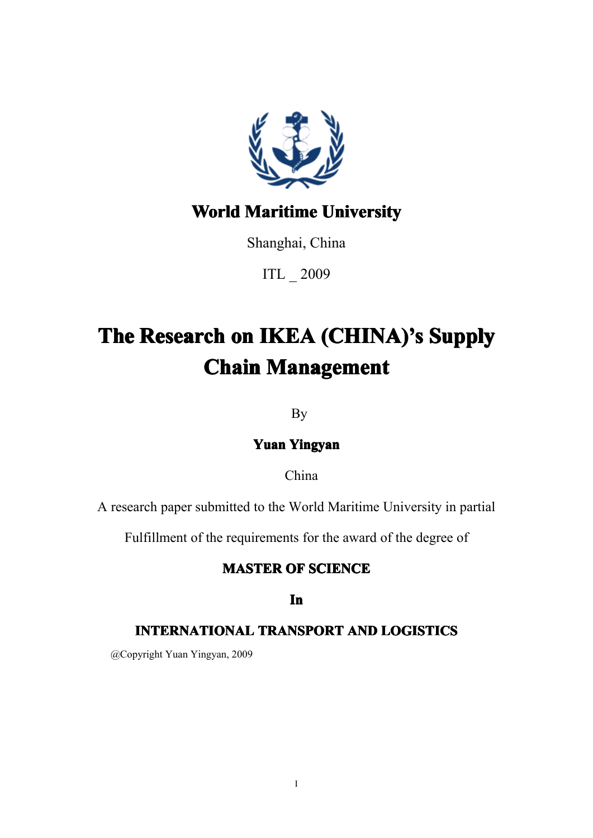

## **World Maritime University**

Shanghai, China

ITL \_ 2009

# **The Research on IKEA (CHINA)'s Supply Chain Management**

By

**Yuan Yingyan Yingyan**

China

A research paper submitted to the World Maritime University in partial

Fulfillment of the requirements for the award of the degree of

## **MASTER OF SCIENCE**

## **In**

## **INTERNATIONAL INTERNATIONAL TRANSPORT TRANSPORT TRANSPORT AND LOGISTICS LOGISTICS**

@Copyright Yuan Yingyan, 2009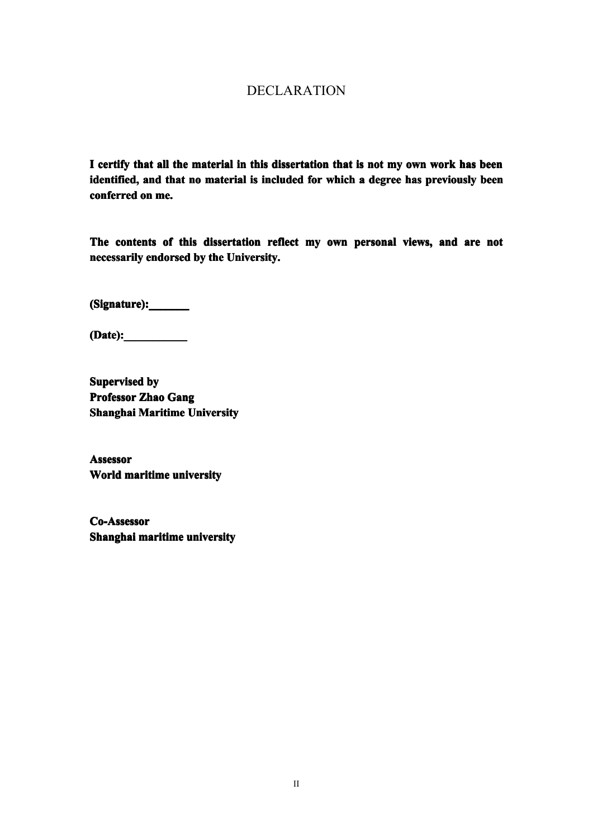## DECLARATION

<span id="page-2-0"></span>**I certify certify that all the material in this dissertation dissertationthat isnot my own work has been** identified, and that no material is included for which a degree has previously been **conferred conferredon me.**

The contents of this dissertation reflect my own personal views, and are not **necessarily endorsed** by the University.

**(Signature):\_\_\_\_\_\_\_ (Signature):\_\_\_\_\_\_\_ (Signature):\_\_\_\_\_\_\_(Signature):\_\_\_\_\_\_\_**

**(Date):\_\_\_\_\_\_\_\_\_\_\_ (Date):\_\_\_\_\_\_\_\_\_\_\_ (Date):\_\_\_\_\_\_\_\_\_\_\_**

**Supervised Supervised by Professor Professor Zhao Gang Shanghai Maritime University** 

**Assessor Assessor World maritime maritimeuniversity universityuniversityuniversity**

**Co-Assessor Co-Assessor Shanghai Shanghai maritime maritime maritimemaritimeuniversity university universityuniversity**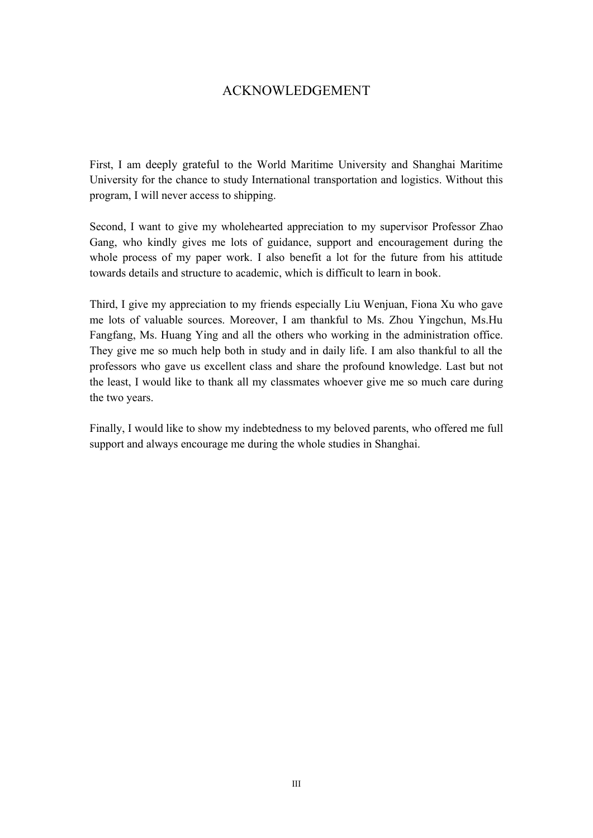## ACKNOWLEDGEMENT

<span id="page-3-0"></span>First, I am deeply grateful to the World Maritime University and Shanghai Maritime University for the chance to study International transportation and logistics. Without this program, I will never access to shipping.

Second, I want to give my wholehearted appreciation to my supervisor Professor Zhao Gang, who kindly gives me lots of guidance, suppor<sup>t</sup> and encouragemen<sup>t</sup> during the whole process of my paper work. I also benefit a lot for the future from his attitude towards details and structure to academic, which is difficult to learn in book.

Third, I give my appreciation to my friends especially Liu Wenjuan, Fiona Xu who gave me lots of valuable sources. Moreover, I am thankful to Ms. Zhou Yingchun, Ms.Hu Fangfang, Ms. Huang Ying and all the others who working in the administration office. They give me so much help both in study and in daily life. I am also thankful to all the professors who gave us excellent class and share the profound knowledge. Last but not the least, I would like to thank all my classmates whoever giveme so much care during the two years.

Finally, I would like to show my indebtedness to my beloved parents, who offered me full suppor<sup>t</sup> and always encourage me during the whole studies in Shanghai.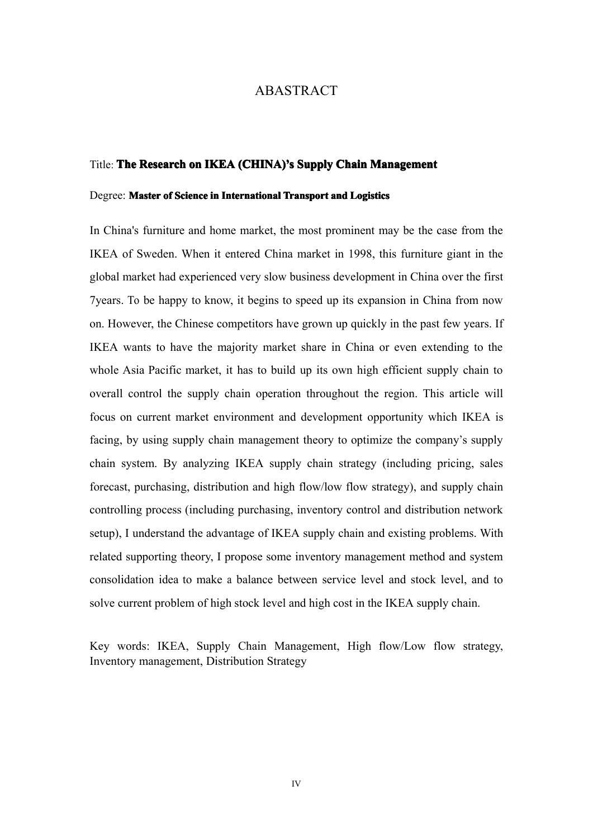#### ABASTRACT

#### <span id="page-4-0"></span>Title: **The Research Researchon IKEA (CHINA) (CHINA) (CHINA)'s Supply Chain Management**

#### **Degree: Master of Science in International Transport and Logistics**

In China's furniture and home market, the most prominent may be the case fromthe IKEA of Sweden. When it entered China market in 1998, this furniture giant in the global market had experienced very slow business development in China over the first 7years. To be happy to know, it begins to speed up its expansion in China from now on. However, the Chinese competitors have grown up quickly in the pas<sup>t</sup> few years. If IKEA wants to have the majority market share in China or even extending to the whole Asia Pacific market, it has to build up its own high efficient supply chain to overall control the supply chain operation throughout the region. This article will focus on current market environment and development opportunity which IKEA is facing, by using supply chain managemen<sup>t</sup> theory to optimize the company's supply chain system. By analyzing IKEA supply chain strategy (including pricing, sales forecast, purchasing, distribution and high flow/low flow strategy), and supply chain controlling process (including purchasing, inventory control and distribution network setup), I understand the advantage of IKEA supply chain and existing problems. With related supporting theory, I propose some inventory managemen<sup>t</sup> method and system consolidation idea to make <sup>a</sup> balance between service level and stock level, and to solve current problem of high stock level and high cost in the IKEA supply chain.

Key words: IKEA, Supply Chain Management, High flow/Low flow strategy, Inventory management, Distribution Strategy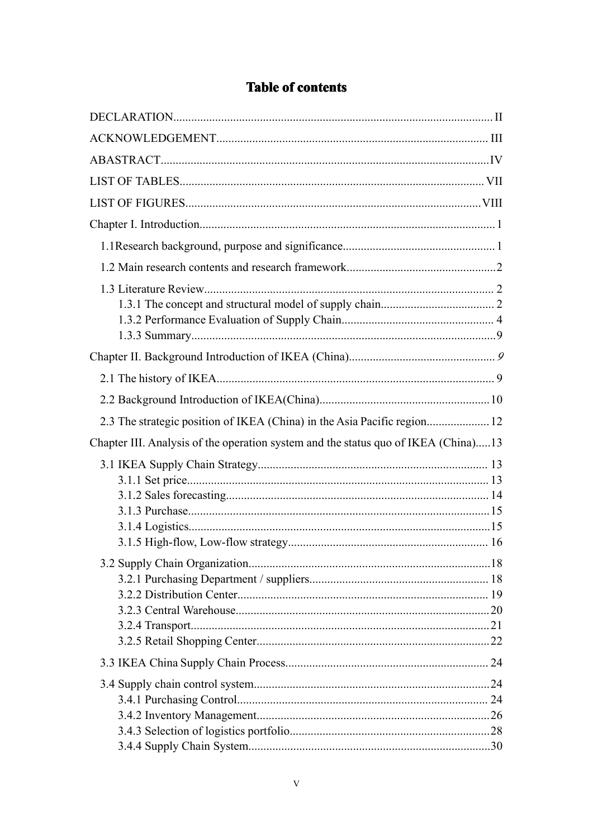| 2.3 The strategic position of IKEA (China) in the Asia Pacific region 12           |  |
|------------------------------------------------------------------------------------|--|
| Chapter III. Analysis of the operation system and the status quo of IKEA (China)13 |  |
|                                                                                    |  |
|                                                                                    |  |
|                                                                                    |  |
|                                                                                    |  |
|                                                                                    |  |
|                                                                                    |  |
|                                                                                    |  |

## **Table of contents**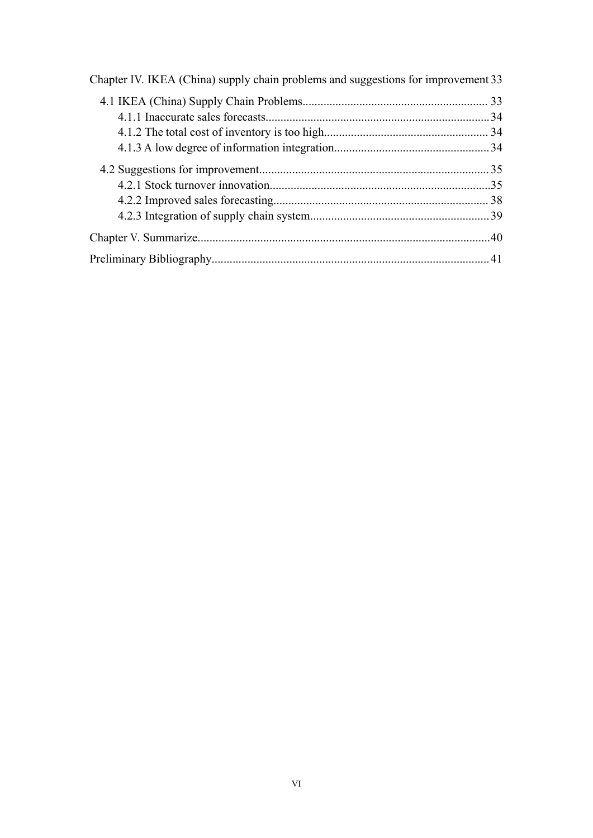| Chapter IV. IKEA (China) supply chain problems and suggestions for improvement 33 |  |
|-----------------------------------------------------------------------------------|--|
|                                                                                   |  |
|                                                                                   |  |
|                                                                                   |  |
|                                                                                   |  |
|                                                                                   |  |
|                                                                                   |  |
|                                                                                   |  |
|                                                                                   |  |
|                                                                                   |  |
|                                                                                   |  |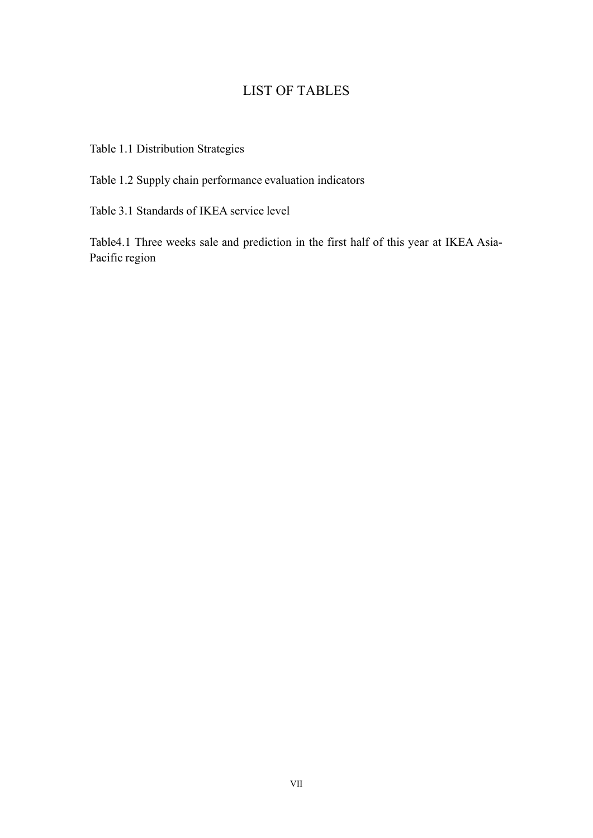## LIST OF TABLES

<span id="page-7-0"></span>Table 1.1 Distribution Strategies

Table 1.2 Supply chain performance evaluation indicators

Table 3.1 Standards of IKEA service level

Table4.1 Three weeks sale and prediction in the first half of this year at IKEA Asia-Pacific region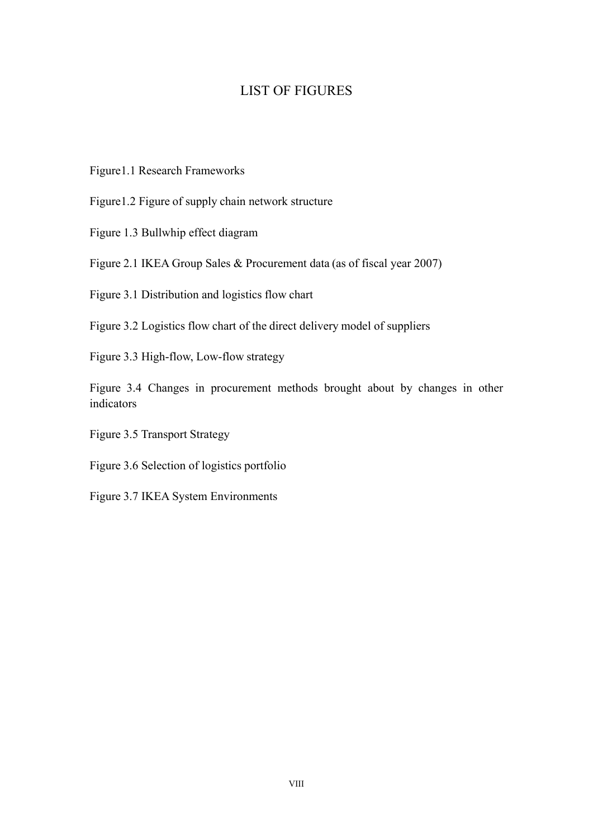## LIST OF FIGURES

- <span id="page-8-0"></span>Figure1.1 Research Frameworks
- Figure1.2 Figure of supply chain network structure
- Figure 1.3 Bullwhip effect diagram
- Figure 2.1 IKEA Group Sales & Procurement data (as of fiscal year 2007)
- Figure 3.1 Distribution and logistics flow chart
- Figure 3.2 Logistics flow chart of the direct delivery model of suppliers
- Figure 3.3 High-flow, Low-flow strategy
- Figure 3.4 Changes in procuremen<sup>t</sup> methods brought about by changes in other indicators
- Figure 3.5 Transport Strategy
- Figure 3.6 Selection of logistics portfolio
- Figure 3.7 IKEA System Environments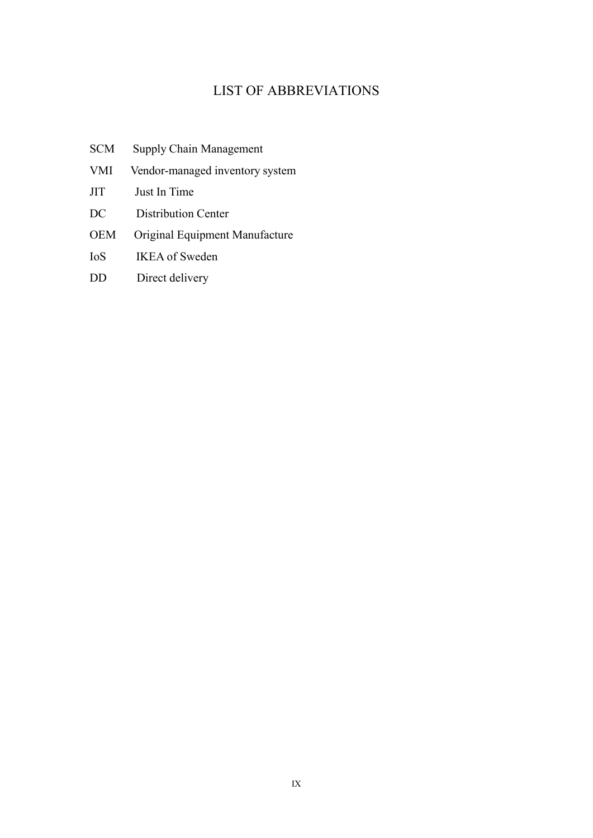## LIST OF ABBREVIATIONS

- SCM Supply Chain Management
- VMI Vendor-managed inventory system
- JIT Just In Time
- DC Distribution Center
- OEM Original Equipment Manufacture
- IoS IKEA of Sweden
- DD Direct delivery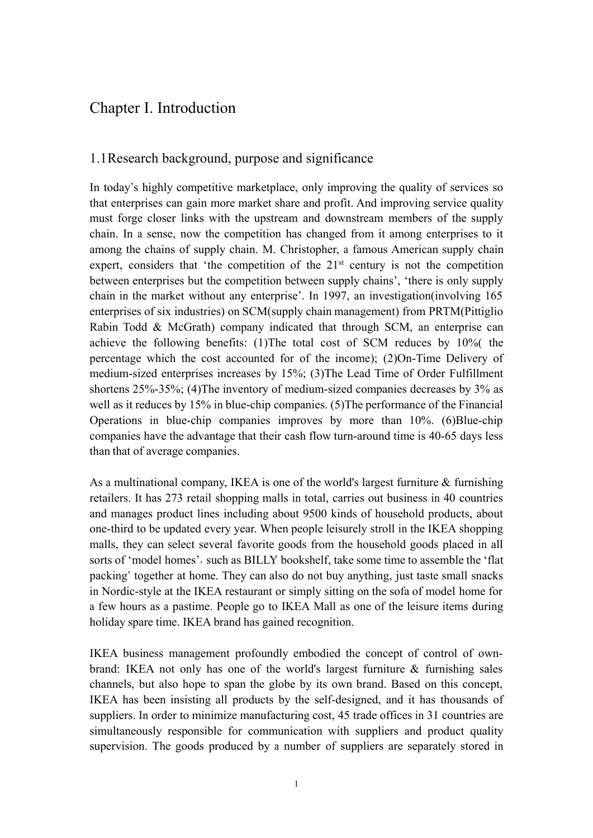## <span id="page-10-0"></span>Chapter I. Introduction

## <span id="page-10-1"></span>1.1Research background, purposeand significance

In today's highly competitive marketplace, only improving the quality of services so that enterprises can gain more market share and profit. And improving service quality must forge closer links with the upstream and downstream members of the supply chain. In <sup>a</sup> sense, nowthe competition has changed from it among enterprises to it among the chains of supply chain. M. Christopher, a famous American supply chain expert, considers that 'the competition of the  $21<sup>st</sup>$  century is not the competition between enterprises but the competition between supply chains', 'there is only supply chain in the market without any enterprise'. In 1997, an investigation(involving 165 enterprises of six industries) on SCM(supply chain management) from PRTM(Pittiglio Rabin Todd & McGrath) company indicated that through SCM, an enterprise can achieve the following benefits: (1)The total cost of SCM reduces by 10%( the percentage which the cost accounted for of the income); (2)On-Time Delivery of medium-sized enterprises increases by 15%; (3)The Lead Time of Order Fulfillment shortens 25%-35%; (4)The inventory of medium-sized companies decreases by 3% as well as it reduces by 15% in blue-chip companies. (5)The performance of the Financial Operations in blue-chip companies improves by more than 10%. (6)Blue-chip companies have the advantage that their cash flow turn-around time is 40-65 days less than that of average companies.

As <sup>a</sup> multinational company, IKEA is one of the world's largest furniture & furnishing retailers. It has 273 retail shopping malls in total, carries out business in 40 countries and manages product lines including about 9500 kinds of household products, about one-third to be updated every year. When people leisurely stroll in the IKEA shopping malls, they can select several favorite goods from the household goods placed in all sorts of 'model homes', such as BILLY bookshelf, take some time to assemble the 'flat packing' together at home. They can also do not buy anything, just taste small snacks in Nordic-style at the IKEA restaurant or simply sitting on the sofa of model home for <sup>a</sup> few hours as <sup>a</sup> pastime. People go to IKEA Mall as oneof the leisure items during holiday spare time. IKEA brand has gained recognition.

IKEA business managemen<sup>t</sup> profoundly embodied the concep<sup>t</sup> of control of ownbrand: IKEA not only has one of the world's largest furniture & furnishing sales channels, but also hope to span the globe by its own brand. Based on this concept, IKEA has been insisting all products by the self-designed, and it has thousands of suppliers. In order to minimize manufacturing cost, 45 trade offices in 31 countries are simultaneously responsible for communication with suppliers and product quality supervision. The goods produced by <sup>a</sup> number of suppliers are separately stored in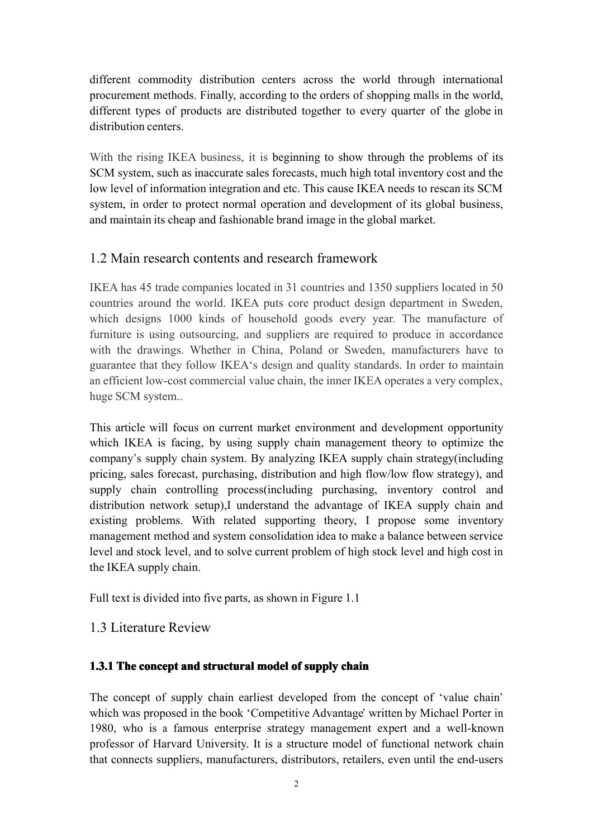different commodity distribution centers across the world through international procuremen<sup>t</sup> methods. Finally, according to the orders of shopping malls in the world, different types of products are distributed together to every quarter of the globe in distribution centers.

With the rising IKEA business, it is beginning to show through the problems of its SCM system, such as inaccurate sales forecasts, much high total inventory cost and the low level of information integration and etc. This cause IKEA needs to rescan its SCM system, in order to protect normal operation and development of its global business, and maintain its cheap and fashionable brand image inthe global market.

## <span id="page-11-0"></span>1.2 Main research contents and research framework

IKEA has 45 trade companies located in 31 countries and 1350 suppliers located in 50 countries around the world. IKEA puts core product design department in Sweden, which designs 1000 kinds of household goods every year. The manufacture of furniture is using outsourcing, and suppliers are required to produce in accordance with the drawings. Whether in China, Poland or Sweden, manufacturers have to guarantee that they follow IKEA's design and quality standards. In order to maintain an efficient low-cost commercial value chain, the inner IKEA operates a very complex, huge SCM system..

This article will focus on current market environment and development opportunity which IKEA is facing, by using supply chain managemen<sup>t</sup> theory to optimize the company's supply chain system. By analyzing IKEA supply chain strategy(including pricing, sales forecast, purchasing, distribution and high flow/low flow strategy), and supply chain controlling process(including purchasing, inventory control and distribution network setup),I understand the advantage of IKEA supply chain and existing problems. With related supporting theory, I propose some inventory managemen<sup>t</sup> method and system consolidation idea tomake <sup>a</sup> balance between service level and stock level, and to solve current problem of high stock level and high cost in the IKEA supply chain.

Full text is divided into five parts, as shown in Figure 1.1

## <span id="page-11-1"></span>1.3 Literature Review

## <span id="page-11-2"></span>**1.3.1 The concep<sup>t</sup> concep<sup>t</sup> and structural structuralstructuralstructural model of supply chain**

The concep<sup>t</sup> of supply chain earliest developed from the concep<sup>t</sup> of 'value chain' which was proposed in the book 'Competitive Advantage' written by Michael Porter in 1980, who is afamous enterprise strategy managemen<sup>t</sup> exper<sup>t</sup> and <sup>a</sup> well-known professor of Harvard University. It is <sup>a</sup> structure model of functional network chain that connects suppliers, manufacturers, distributors, retailers, even until the end-users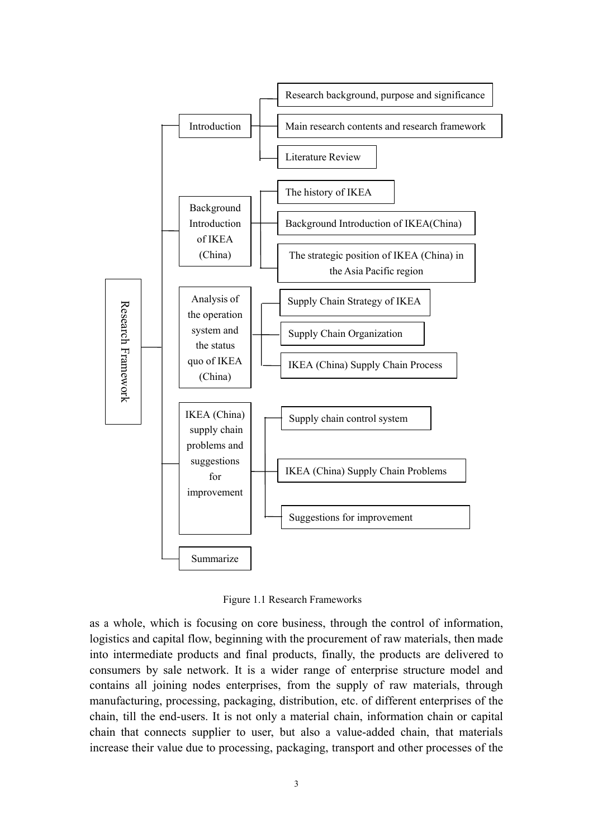

Figure 1.1 Research Frameworks

as <sup>a</sup> whole, which is focusing on core business, through the control of information, logistics and capital flow, beginning with the procuremen<sup>t</sup> of raw materials, then made into intermediate products and final products, finally, the products are delivered to consumers by sale network. It is <sup>a</sup> wider range of enterprise structure model and contains all joining nodes enterprises, from the supply of raw materials, through manufacturing, processing, packaging, distribution, etc. of different enterprises of the chain, till the end-users. It is not only <sup>a</sup> material chain, information chain or capital chain that connects supplier to user, but also <sup>a</sup> value-added chain, that materials increase their value due to processing, packaging, transport and other processes of the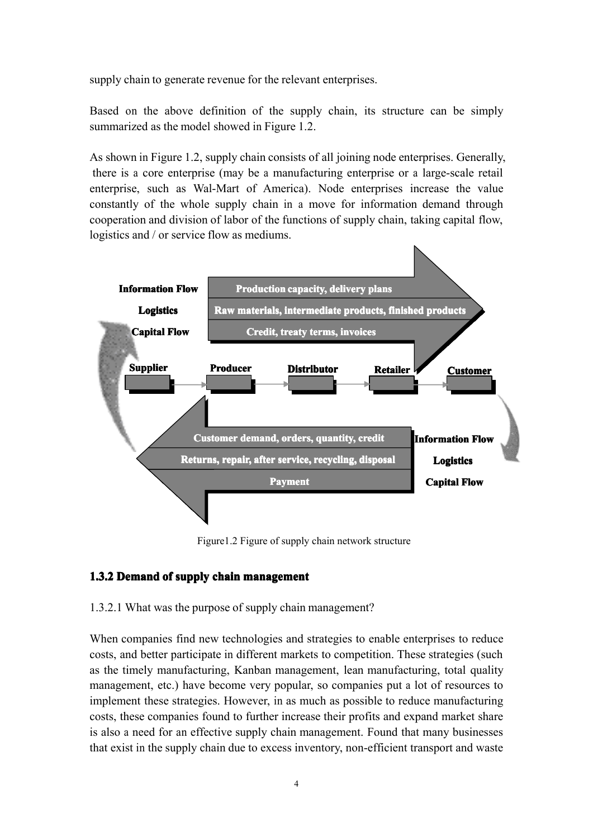supply chain to generate revenue for the relevant enterprises.

Based on the above definition of the supply chain, its structure can be simply summarized as the model showed in Figure 1.2.

As shown in Figure 1.2, supply chain consists of all joining node enterprises. Generally, there is <sup>a</sup> core enterprise (may be <sup>a</sup> manufacturing enterprise or <sup>a</sup> large-scale retail enterprise, such as Wal-Mart of America). Node enterprises increase the value constantly of the whole supply chain in <sup>a</sup> move for information demand through cooperation and division of labor of the functions of supplychain, taking capital flow, logistics and / or service flow as mediums.



Figure 1.2 Figure of supply chain network structure

## **1.3.2 Demand of supply chain management management**

## 1.3.2.1 What was the purpose of supplychain management?

When companies find new technologies and strategies to enable enterprises to reduce costs, and better participate in different markets to competition. These strategies (such as the timely manufacturing, Kanban management, lean manufacturing, total quality management, etc.) have become very popular, so companies pu<sup>t</sup> <sup>a</sup> lot of resources to implement these strategies. However, in as much as possible to reduce manufacturing costs, these companies found to further increase their profits and expand market share is also <sup>a</sup> need for an effective supply chain management. Found that many businesses that exist in the supply chain due to excess inventory, non-efficient transport and waste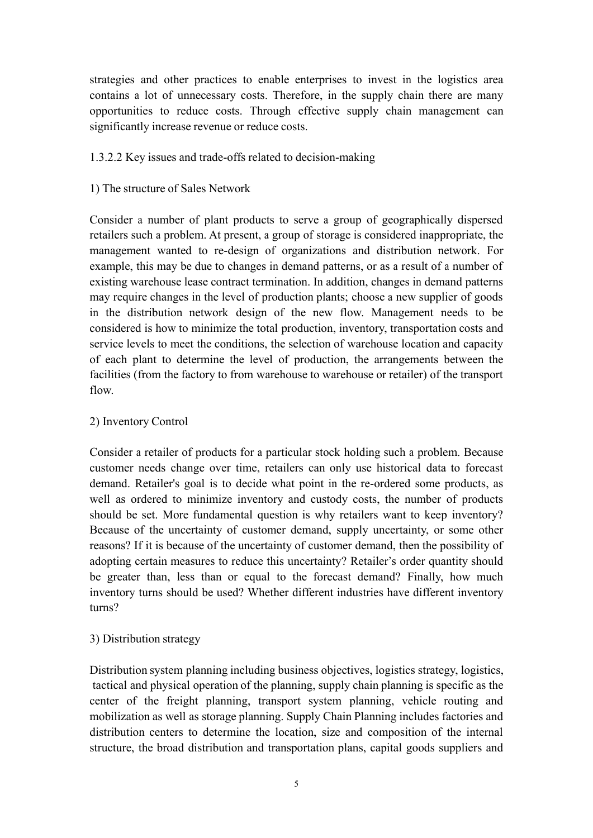strategies and other practices to enable enterprises to invest in the logistics area contains <sup>a</sup> lot of unnecessary costs. Therefore, in the supply chain there are many opportunities to reduce costs. Through effective supply chain managemen<sup>t</sup> can significantly increase revenue or reduce costs.

## 1.3.2.2 Key issues and trade-offs related to decision-making

## 1) The structure of Sales Network

Consider <sup>a</sup> number of plant products to serve <sup>a</sup> group of geographically dispersed retailers such <sup>a</sup> problem. At present, <sup>a</sup> group of storage is considered inappropriate, the managemen<sup>t</sup> wanted to re-design of organizations and distribution network. For example, this may be due to changes in demand patterns, or as a result of a number of existing warehouse lease contract termination. In addition, changes in demand patterns may require changes in the level of production plants; choose <sup>a</sup> new supplier of goods in the distribution network design of the new flow. Management needs to be considered is how to minimize the total production, inventory, transportation costs and service levels to meet the conditions, the selection of warehouse location and capacity of each plant to determine the level of production, the arrangements between the facilities (from the factory to from warehouse to warehouse or retailer) of the transport flow.

## 2) Inventory Control

Consider <sup>a</sup> retailer of products for <sup>a</sup> particular stock holding such <sup>a</sup> problem. Because customer needs change over time, retailers can only use historical data to forecast demand. Retailer's goal is to decide what point in the re-ordered some products, as well as ordered to minimize inventory and custody costs, the number of products should be set. More fundamental question is why retailers want to keep inventory? Because of the uncertainty of customer demand, supply uncertainty, or some other reasons? If it is because of the uncertainty of customer demand, then the possibility of adopting certain measures to reduce this uncertainty? Retailer's order quantity should be greater than, less than or equal to the forecast demand? Finally, how much inventory turns should be used? Whether different industries have different inventory turns?

## 3) Distribution strategy

Distribution system planning including business objectives, logistics strategy, logistics, tactical and physical operation of the planning, supply chain planning is specific as the center of the freight planning, transport system planning, vehicle routing and mobilization as well as storage planning. Supply Chain Planning includes factories and distribution centers to determine the location, size and composition of the internal structure, the broad distribution and transportation plans, capital goods suppliers and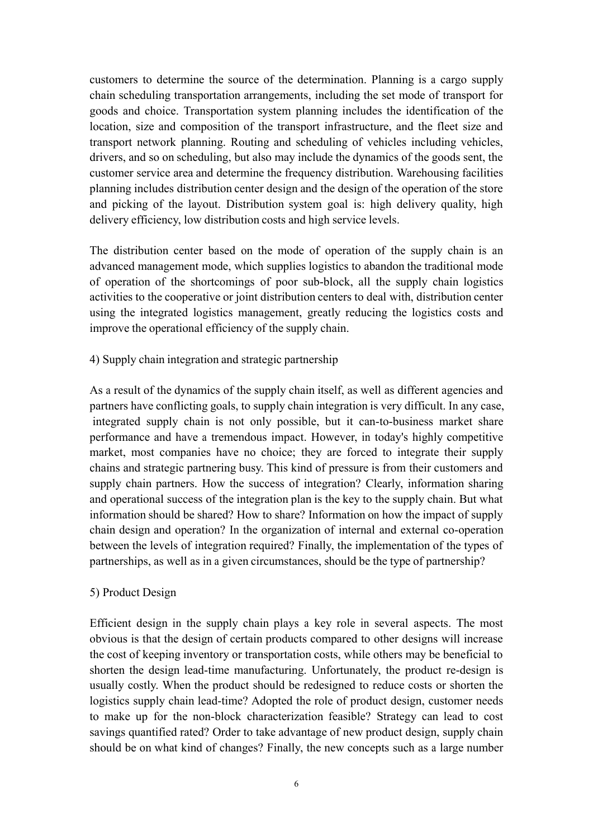customers to determine the source of the determination. Planning is <sup>a</sup> cargo supply chain scheduling transportation arrangements, including the set mode of transport for goods and choice. Transportation systemplanning includes the identification of the location, size and composition of the transport infrastructure, and the fleet size and transport network planning. Routing and scheduling of vehicles including vehicles, drivers, and so on scheduling, but also may include the dynamics of the goods sent, the customer service area and determine the frequency distribution. Warehousing facilities planning includes distribution center design and the design of the operation of the store and picking of the layout. Distribution system goal is: high delivery quality, high delivery efficiency, low distribution costs and high service levels.

The distribution center based on the mode of operation of the supply chain is an advanced managemen<sup>t</sup> mode, which supplies logistics to abandon the traditional mode of operation of the shortcomings of poor sub-block, all the supply chain logistics activities to the cooperative or joint distribution centers to deal with, distribution center using the integrated logistics management, greatly reducing the logistics costs and improve the operational efficiency of the supply chain.

4) Supply chain integration and strategic partnership

As <sup>a</sup> result of the dynamics of the supply chain itself, as well as different agencies and partners have conflicting goals, to supply chain integration is very difficult. In any case, integrated supply chain is not only possible, but it can-to-business market share performance and have <sup>a</sup> tremendous impact. However, in today's highly competitive market, most companies have no choice; they are forced to integrate their supply chains and strategic partnering busy. This kind of pressure is from their customers and supply chain partners. How the success of integration? Clearly, information sharing and operational success of the integration plan is the key to the supply chain. But what information should be shared? How to share? Information on how the impact of supply chain design and operation? In the organization of internal and external co-operation between the levels of integration required? Finally, the implementation of the types of partnerships, as well as in <sup>a</sup> given circumstances, should be the type of partnership?

## 5) Product Design

Efficient design in the supply chain plays <sup>a</sup> key role in several aspects. The most obvious is that the design of certain products compared to other designs will increase the cost of keeping inventory or transportation costs, while others maybe beneficial to shorten the design lead-time manufacturing. Unfortunately, the product re-design is usually costly. When the product should be redesigned to reduce costs or shorten the logistics supply chain lead-time? Adopted the role of product design, customer needs to make up for the non-block characterization feasible? Strategy can lead to cost savings quantified rated? Order to take advantage of new product design, supply chain should be on what kind of changes? Finally, the new concepts such as <sup>a</sup> large number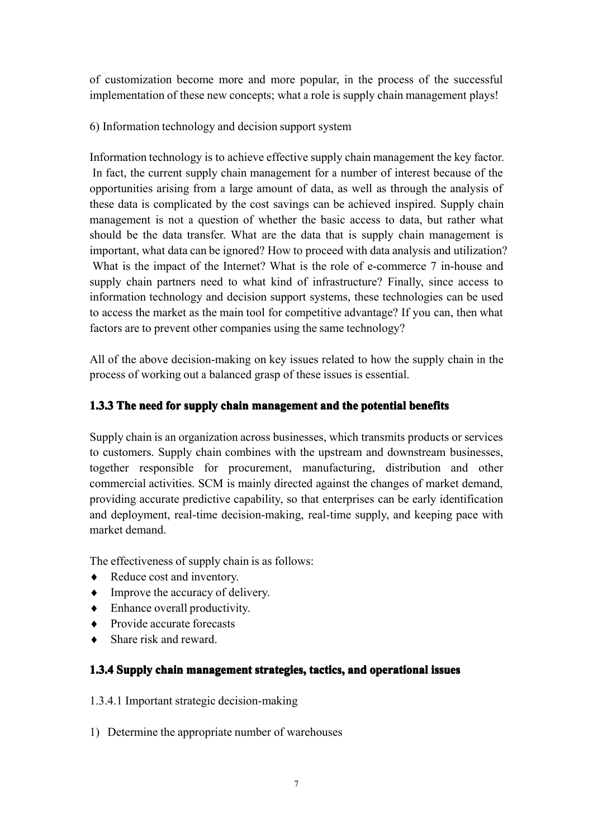of customization become more and more popular, in the process of the successful implementation of these new concepts; what <sup>a</sup> role is supply chain managemen<sup>t</sup> plays!

6) Information technology and decision suppor<sup>t</sup> system

Information technology is to achieve effective supply chain managemen<sup>t</sup> the key factor. In fact, the current supply chain managemen<sup>t</sup> for <sup>a</sup> number of interest because of the opportunities arising from <sup>a</sup> large amount of data, as well as through the analysis of these data is complicated by the cost savings can be achieved inspired. Supply chain managemen<sup>t</sup> is not <sup>a</sup> question of whether the basic access to data, but rather what should be the data transfer. What are the data that is supply chain managemen<sup>t</sup> is important, what data can be ignored? How to proceed with data analysis and utilization? What is the impact of the Internet? What is the role of e-commerce 7 in-house and supply chain partners need to what kind of infrastructure? Finally, since access to information technology and decision suppor<sup>t</sup> systems, these technologies can be used to access the market as the main tool for competitive advantage? If you can, then what factors are to prevent other companies using the same technology?

All of the above decision-making on key issues related to how the supply chain in the process of working out <sup>a</sup> balanced grasp of these issues is essential.

## 1.3.3 The need for supply chain management and the potential benefits

Supply chain is an organization across businesses, which transmits products or services to customers. Supply chain combines with the upstream and downstream businesses, together responsible for procurement, manufacturing, distribution and other commercial activities. SCM is mainly directed against the changes of market demand, providing accurate predictive capability, so that enterprises can be early identification and deployment, real-time decision-making, real-time supply, and keeping pace with market demand.

The effectiveness of supply chain is as follows:

- ♦ Reduce cost and inventory.
- ♦ Improve the accuracy of delivery.
- ♦ Enhance overall productivity.
- Provide accurate forecasts
- Share risk and reward.

## 1.3.4 Supply chain management strategies, tactics, and operational issues

1.3.4.1 Important strategic decision-making

1) Determine the appropriate number of warehouses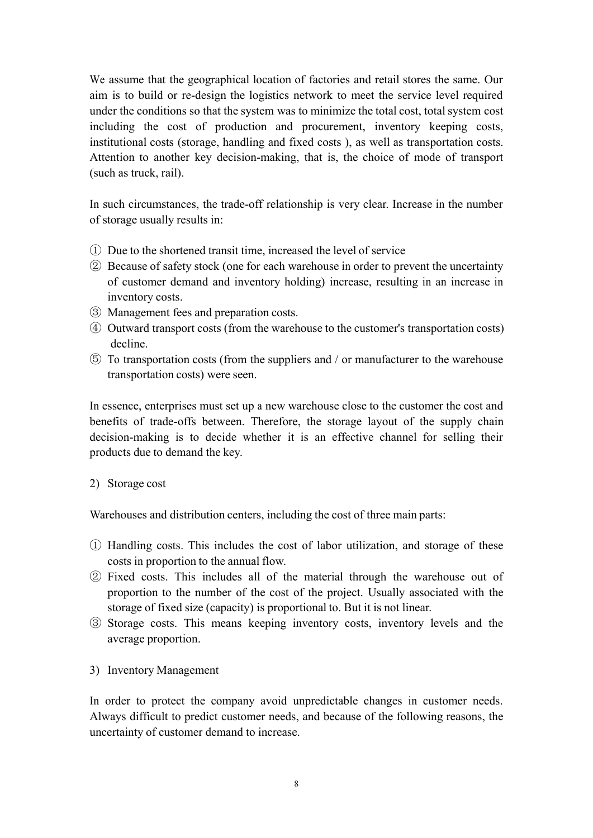We assume that the geographical location of factories and retail stores the same. Our aim is to build or re-design the logistics network to meet the service level required under the conditions so that the system was to minimize the total cost, total system cost including the cost of production and procurement, inventory keeping costs, institutional costs (storage, handling and fixed costs ), as well as transportation costs. Attention to another key decision-making, that is, the choice of mode of transport (such as truck, rail).

In such circumstances, the trade-off relationship is very clear. Increase in the number of storage usually results in:

- ① Due tothe shortened transit time, increased the level of service
- ② Because of safety stock (one for each warehouse inorder to preven<sup>t</sup> the uncertainty of customer demand and inventory holding) increase, resulting in an increase in inventory costs.
- ③ Management fees and preparation costs.
- ④ Outward transport costs (from the warehouse tothe customer's transportation costs) decline.
- ⑤ To transportation costs (from the suppliers and / or manufacturer to the warehouse transportation costs) were seen.

In essence, enterprises must set up a new warehouse close to the customer the cost and benefits of trade-offs between. Therefore, the storage layout of the supply chain decision-making is to decide whether it is an effective channel for selling their products due to demand the key.

2) Storage cost

Warehouses and distribution centers, including the cost of three main parts:

- ① Handling costs. This includes the cost of labor utilization, and storage of these costs in proportion to the annual flow.
- ② Fixed costs. This includes all of the material through the warehouse out of proportion to the number of the cost of the project. Usually associated with the storage of fixed size (capacity) is proportional to. But it is not linear.
- ③ Storage costs. This means keeping inventory costs, inventorylevels andthe average proportion.
- 3) Inventory Management

In order to protect the company avoid unpredictable changes in customer needs. Always difficult to predict customer needs, and because of the following reasons, the uncertainty of customer demand to increase.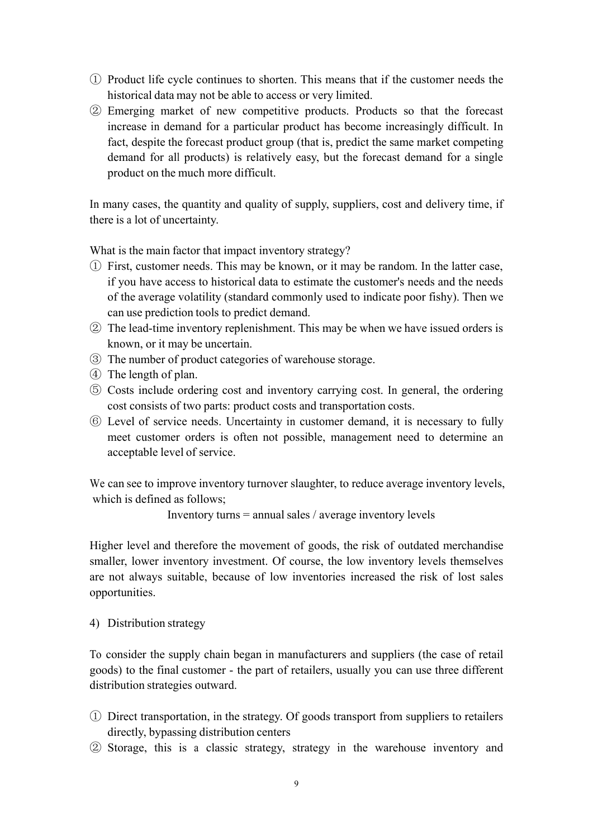- ① Product life cycle continues to shorten. This means that if the customer needs the historical data may not be able to access or very limited.
- ② Emerging market of new competitive products. Products so that the forecast increase in demand for <sup>a</sup> particular product has become increasingly difficult. In fact, despite the forecast product group (that is, predict the same market competing demand for all products) is relatively easy, but the forecast demand for <sup>a</sup> single product on the much more difficult.

In many cases, the quantity and quality of supply, suppliers, cost and delivery time, if there is <sup>a</sup> lot of uncertainty.

What is the main factor that impact inventory strategy?

- ① First, customer needs. This maybe known, or it may be random. In the latter case, if you have access to historical data to estimate the customer's needs and the needs of the average volatility (standard commonly used to indicate poor fishy). Then we can use prediction tools to predict demand.
- ② The lead-time inventory replenishment. This maybe when we have issued orders is known, or it may be uncertain.
- ③ The number of product categories of warehouse storage.
- ④ The length of <sup>p</sup>lan.
- ⑤ Costs include ordering cost and inventory carrying cost. In general, the ordering cost consists of two parts: product costs and transportation costs.
- ⑥ Level of service needs. Uncertainty in customer demand, it is necessary to fully meet customer orders is often not possible, managemen<sup>t</sup> need to determine an acceptable level of service.

We can see to improve inventory turnover slaughter, to reduce average inventory levels, which is defined as follows;

Inventory turns <sup>=</sup> annual sales / average inventory levels

Higher level and therefore the movement of goods, the risk of outdated merchandise smaller, lower inventory investment. Of course, the low inventory levels themselves are not always suitable, because of low inventories increased the risk of lost sales opportunities.

4) Distribution strategy

To consider the supply chain began in manufacturers and suppliers (the case of retail goods) to the final customer - the par<sup>t</sup> of retailers, usually you can use three different distribution strategies outward.

- ① Direct transportation, in the strategy. Of goods transport from suppliers to retailers directly, bypassing distribution centers
- ② Storage, this is <sup>a</sup> classic strategy, strategy in the warehouse inventory and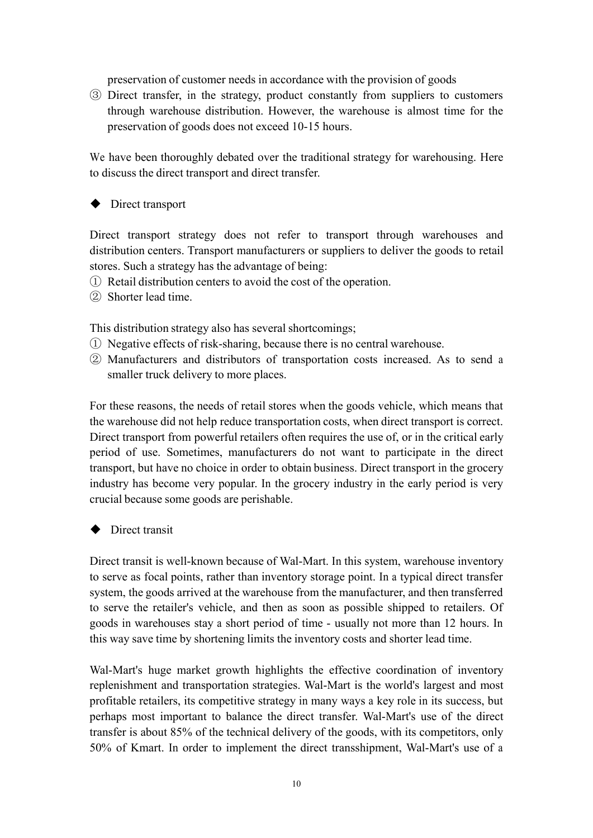preservation of customer needs in accordance with the provision of goods

③ Direct transfer, in the strategy, product constantly from suppliers to customers through warehouse distribution. However, the warehouse is almost time for the preservation of goods does not exceed 10-15 hours.

We have been thoroughly debated over the traditional strategy for warehousing. Here to discuss the direct transport and direct transfer.

� Direct transport

Direct transport strategy does not refer to transport through warehouses and distribution centers. Transport manufacturers or suppliers to deliver the goods to retail stores. Such <sup>a</sup> strategy has the advantage of being:

- ① Retail distribution centers to avoid the cost of the operation.
- ② Shorter lead time.

This distribution strategy also has several shortcomings;

- ① Negative effects of risk-sharing, because there is no central warehouse.
- ② Manufacturers anddistributors of transportation costs increased. As to send <sup>a</sup> smaller truck delivery to more places.

For these reasons, the needs of retail stores when the goods vehicle, which means that the warehouse did not help reduce transportation costs, when direct transport is correct. Direct transport from powerful retailers often requires the use of, or in the critical early period of use. Sometimes, manufacturers do not want to participate in the direct transport, but have no choice in order to obtain business. Direct transport in the grocery industry has become very popular. In the grocery industry in the early period is very crucial because some goods are perishable.

## **◆** Direct transit

Direct transit is well-known because of Wal-Mart. In this system, warehouse inventory to serve as focal points, rather than inventory storage point. In <sup>a</sup> typical direct transfer system, the goods arrived at the warehouse from the manufacturer, and then transferred to serve the retailer's vehicle, and then as soon as possible shipped to retailers. Of goods in warehouses stay <sup>a</sup> short period of time - usually not more than 12 hours. In this way save time by shortening limits the inventory costs and shorter lead time.

Wal-Mart's huge market growth highlights the effective coordination of inventory replenishment and transportation strategies. Wal-Mart is the world's largest and most profitable retailers, its competitive strategy in many ways <sup>a</sup> key role in its success, but perhaps most important to balance the direct transfer. Wal-Mart's use of the direct transfer is about 85% of the technical delivery of the goods, with its competitors, only 50% of Kmart. In order to implement the direct transshipment, Wal-Mart's use of <sup>a</sup>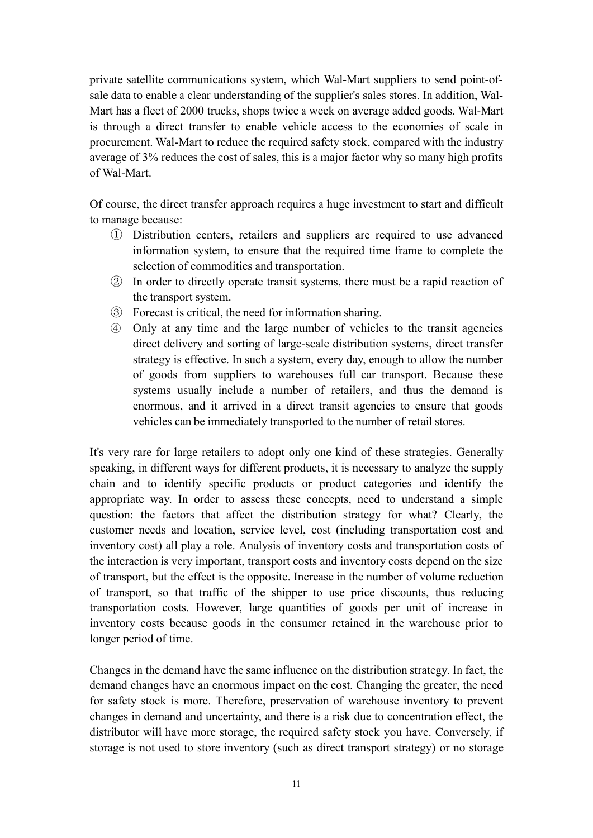private satellite communications system, which Wal-Mart suppliers to send point-ofsale data to enable a clear understanding of the supplier's sales stores. In addition, Wal-Mart has a fleet of 2000 trucks, shops twice a week on average added goods. Wal-Mart is through <sup>a</sup> direct transfer to enable vehicle access to the economies of scale in procurement. Wal-Mart to reduce the required safety stock, compared with the industry average of 3% reduces the cost of sales, this is <sup>a</sup> major factor why so many high profits of Wal-Mart.

Of course, the direct transfer approach requires <sup>a</sup> huge investment to start and difficult to manage because:

- ① Distribution centers, retailers andsuppliers are required to use advanced information system, to ensure that the required time frame to complete the selection of commodities and transportation.
- ② In order to directly operate transit systems, there must be <sup>a</sup> rapid reaction of the transport system.
- ③ Forecast is critical, the need for information sharing.
- ④ Only at any time and the large number of vehicles to the transit agencies direct delivery and sorting of large-scale distribution systems, direct transfer strategy is effective. In such <sup>a</sup> system, every day, enough to allow the number of goods from suppliers to warehouses full car transport. Because these systems usually include <sup>a</sup> number of retailers, and thus the demand is enormous, and it arrived in <sup>a</sup> direct transit agencies to ensure that goods vehicles can be immediately transported to the number of retail stores.

It's very rare for large retailers to adopt only one kind of these strategies. Generally speaking, in different ways for different products, it is necessary to analyze the supply chain and to identify specific products or product categories and identify the appropriate way. In order to assess these concepts, need to understand <sup>a</sup> simple question: the factors that affect the distribution strategy for what? Clearly, the customer needs and location, service level, cost (including transportation cost and inventory cost) all play <sup>a</sup> role. Analysis of inventory costs and transportation costs of the interaction is very important, transport costs and inventory costs depend on the size of transport, but the effect is the opposite. Increase inthe number of volume reduction of transport, so that traffic of the shipper to use price discounts, thus reducing transportation costs. However, large quantities of goods per unit of increase in inventory costs because goods in the consumer retained in the warehouse prior to longer period of time.

Changes in the demand have the same influence on the distribution strategy. In fact, the demand changes have an enormous impact on the cost. Changing the greater, the need for safety stock is more. Therefore, preservation of warehouse inventory to preven<sup>t</sup> changes in demand and uncertainty, and there is a risk due to concentration effect, the distributor will have more storage, the required safety stock you have. Conversely, if storage is not used to store inventory (such as direct transport strategy) or no storage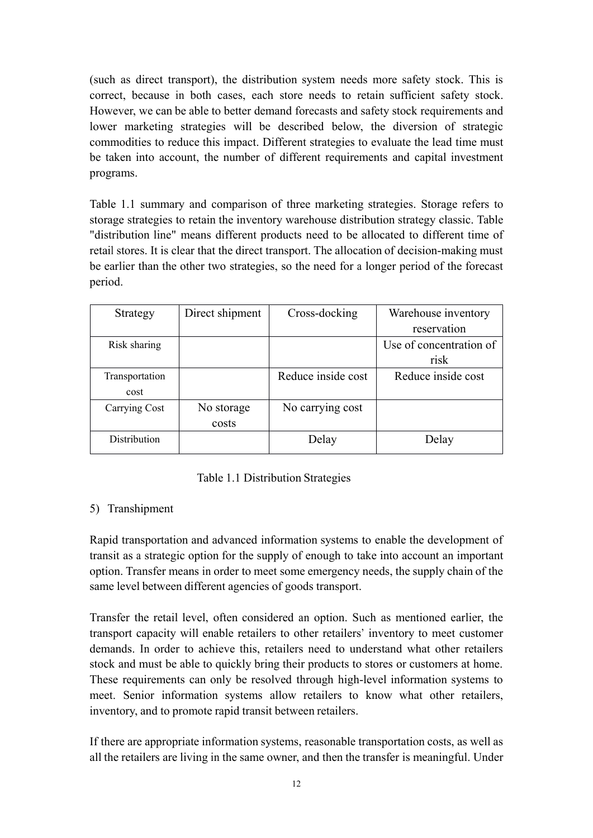(such as direct transport), the distribution system needs more safety stock. This is correct, because in both cases, each store needs to retain sufficient safety stock. However, we can be able to better demand forecasts and safety stock requirements and lower marketing strategies will be described below, the diversion of strategic commodities to reduce this impact. Different strategies to evaluate the lead time must be taken into account, the number of different requirements and capital investment programs.

Table 1.1 summary and comparison of three marketing strategies. Storage refers to storage strategies to retain the inventory warehouse distribution strategy classic. Table "distribution line" means different products need to be allocated to different time of retail stores. It is clear that the direct transport. The allocation of decision-making must be earlier than the other two strategies, so the need for <sup>a</sup> longer period of the forecast period.

| Strategy       | Direct shipment | Cross-docking      | Warehouse inventory     |
|----------------|-----------------|--------------------|-------------------------|
|                |                 |                    | reservation             |
| Risk sharing   |                 |                    | Use of concentration of |
|                |                 |                    | risk                    |
| Transportation |                 | Reduce inside cost | Reduce inside cost      |
| cost           |                 |                    |                         |
| Carrying Cost  | No storage      | No carrying cost   |                         |
|                | costs           |                    |                         |
| Distribution   |                 | Delay              | Delay                   |
|                |                 |                    |                         |

## Table 1.1 Distribution Strategies

## 5) Transhipment

Rapid transportation and advanced information systems to enable the development of transit as <sup>a</sup> strategic option for the supply of enough to take into account an important option. Transfer means in order to meet some emergency needs, the supply chain of the same level between different agencies of goods transport.

Transfer the retail level, often considered an option. Such as mentioned earlier, the transport capacity will enable retailers to other retailers' inventory to meet customer demands. In order to achieve this, retailers need to understand what other retailers stock and must be able to quickly bring their products to stores or customers at home. These requirements can only be resolved through high-level information systems to meet. Senior information systems allow retailers to know what other retailers, inventory, and to promote rapid transit between retailers.

If there are appropriate information systems, reasonable transportation costs, as well as all the retailers are living in the same owner, and then the transfer is meaningful. Under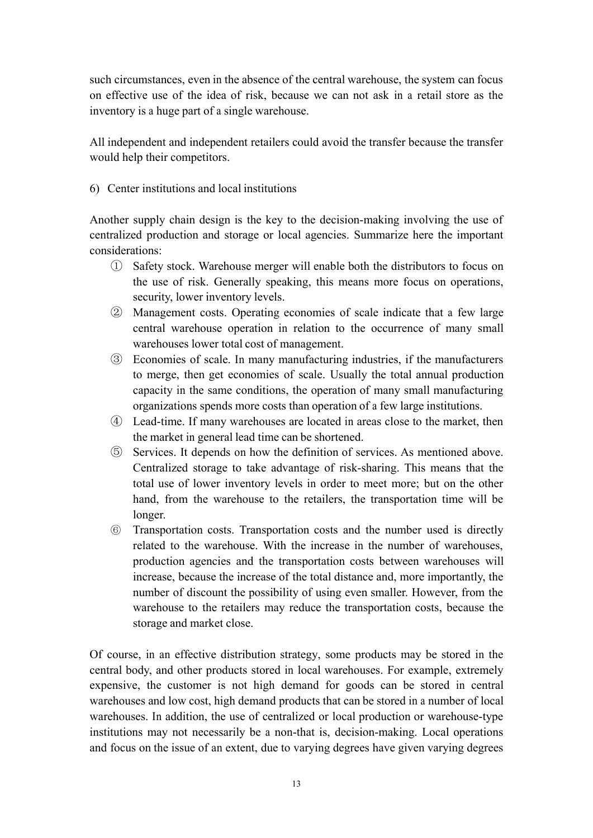such circumstances, even in the absence of the central warehouse, the system can focus on effective use of the idea of risk, because we can not ask in <sup>a</sup> retail store as the inventory is <sup>a</sup> huge par<sup>t</sup> of <sup>a</sup> single warehouse.

All independent and independent retailers could avoid the transfer because the transfer would help their competitors.

## 6) Center institutions and local institutions

Another supply chain design is the key to the decision-making involving the use of centralized production and storage or local agencies. Summarize here the important considerations:

- ① Safety stock. Warehouse merger will enable both the distributors to focus on the use of risk. Generally speaking, this means more focus on operations, security, lower inventory levels.
- ② Management costs. Operatingeconomies of scale indicate that <sup>a</sup> few large central warehouse operation in relation to the occurrence of many small warehouses lower total cost of management.
- ③ Economies of scale. In many manufacturing industries, if the manufacturers to merge, then ge<sup>t</sup> economies of scale. Usually the total annual production capacity in the same conditions, the operation of many small manufacturing organizations spends more costs thanoperation of <sup>a</sup> few large institutions.
- ④ Lead-time. If many warehouses are located in areas close to the market, then the market in general lead time can be shortened.
- ⑤ Services. It depends on how the definition of services. As mentioned above. Centralized storage to take advantage of risk-sharing. This means that the total use of lower inventory levels in order to meet more; but on the other hand, from the warehouse to the retailers, the transportation time will be longer.
- ⑥ Transportation costs. Transportation costs and the number used is directly related to the warehouse. With the increase in the number of warehouses, production agencies and the transportation costs between warehouses will increase, because the increase of the total distance and, more importantly, the number of discount the possibility of using even smaller. However, from the warehouse to the retailers may reduce the transportation costs, because the storage and market close.

Of course, in an effective distribution strategy, some products may be stored in the central body, and other products stored in local warehouses. For example, extremely expensive, the customer is not high demand for goods canbe stored in central warehouses and low cost, high demand products that can be stored in <sup>a</sup> number of local warehouses. In addition, the use of centralized or local production or warehouse-type institutions may not necessarily be <sup>a</sup> non-that is, decision-making. Local operations and focus on the issue of an extent, due to varying degrees have given varying degrees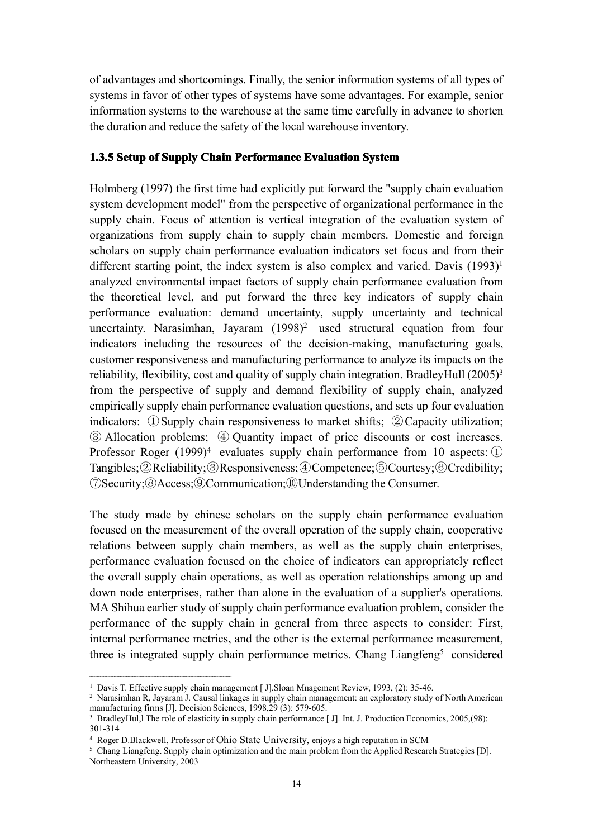of advantages and shortcomings. Finally, the senior information systems of all types of systems in favor of other types of systems have some advantages. For example, senior information systems to the warehouse at the same time carefully in advance to shorten the duration and reduce the safety of the local warehouse inventory.

#### **1.3.5 Setup of Supply Chain Performance Evaluation Evaluation System**

Holmberg (1997) the first time had explicitly pu<sup>t</sup> forward the "supply chain evaluation system development model" from the perspective of organizational performance in the supply chain. Focus of attention is vertical integration of the evaluation system of organizations from supply chain to supply chain members. Domestic and foreign scholars on supply chain performance evaluation indicators set focus and from their different starting point, the index system is also complex and varied. Davis ([1](#page-23-0)993)<sup>1</sup> analyzed environmental impact factors of supply chain performance evaluation from the theoretical level, and pu<sup>t</sup> forward the three key indicators of supply chain performance evaluation: demand uncertainty, supply uncertainty and technical uncertainty. Narasimhan, Jayaram (1998) [2](#page-23-1) used structural equation from four indicators including the resources of the decision-making, manufacturing goals, customer responsiveness and manufacturing performance to analyze its impacts on the reliability, flexibility, cost and quality of supply chain integration. BradleyHull (2005)<sup>[3](#page-23-2)</sup> from the perspective of supply and demand flexibility of supply chain, analyzed empirically supply chain performance evaluation questions, and sets up four evaluation indicators: ①Supply chain responsiveness to market shifts; ②Capacity utilization; ③ Allocation problems; ④ Quantity impact of price discounts or cost increases. Professor Roger (1999)<sup>[4](#page-23-3)</sup> evaluates supply chain performance from 10 aspects: 1 Tangibles;②Reliability;③Responsiveness;④Competence;⑤Courtesy;⑥Credibility; ⑦Security;⑧Access;⑨Communication;⑩Understanding the Consumer.

The study made by chinese scholars on the supply chain performance evaluation focused on the measurement of the overall operation of the supply chain, cooperative relations between supply chain members, as well as the supply chain enterprises, performance evaluation focused on the choice of indicators can appropriately reflect the overall supply chain operations, as well as operation relationships among up and down node enterprises, rather than alone in the evaluation of <sup>a</sup> supplier's operations. MA Shihua earlier study of supply chain performance evaluation problem, consider the performance of the supply chain in general from three aspects to consider: First, internal performance metrics, and the other is the external performance measurement, three is integrated supply chain performance metrics. Chang Liangfeng<sup>[5](#page-23-4)</sup> considered

<sup>1</sup> Davis T. Effective supply chain managemen<sup>t</sup> [ J].Sloan Mnagement Review, 1993, (2): 35-46.

<span id="page-23-1"></span><span id="page-23-0"></span><sup>2</sup> Narasimhan R, Jayaram J. Causal linkages in supply chain management: an exploratory study of North American manufacturing firms [J]. Decision Sciences, 1998,29 (3): 579-605.

<span id="page-23-2"></span><sup>&</sup>lt;sup>3</sup> BradleyHul,l The role of elasticity in supply chain performance [J]. Int. J. Production Economics, 2005,(98): 301-314

<span id="page-23-3"></span><sup>4</sup> Roger D.Blackwell, Professor of Ohio State University, enjoys <sup>a</sup> high reputation in SCM

<span id="page-23-4"></span><sup>&</sup>lt;sup>5</sup> Chang Liangfeng. Supply chain optimization and the main problem from the Applied Research Strategies [D]. Northeastern University, 2003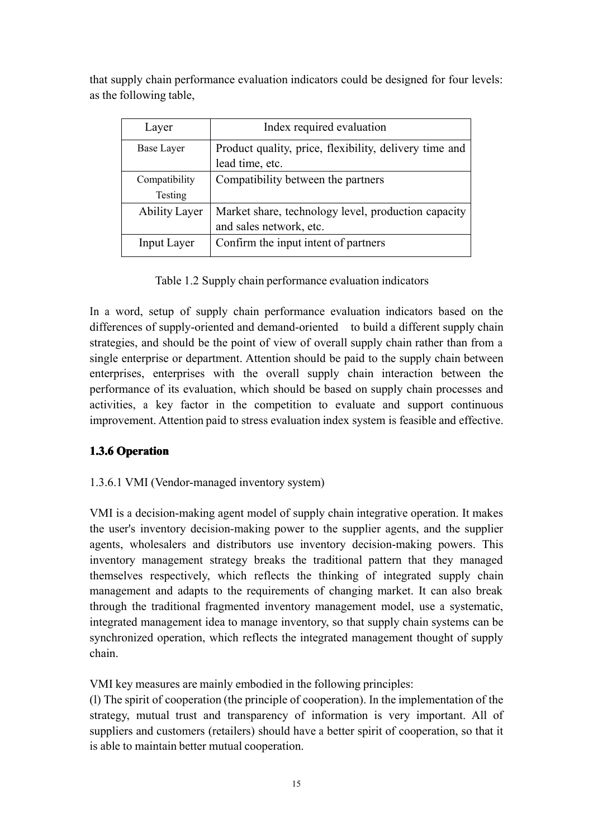that supply chain performance evaluation indicators could be designed for four levels: as the following table,

| Layer                    | Index required evaluation                                                      |
|--------------------------|--------------------------------------------------------------------------------|
| Base Layer               | Product quality, price, flexibility, delivery time and<br>lead time, etc.      |
| Compatibility<br>Testing | Compatibility between the partners                                             |
| <b>Ability Layer</b>     | Market share, technology level, production capacity<br>and sales network, etc. |
| <b>Input Layer</b>       | Confirm the input intent of partners                                           |

Table 1.2 Supply chain performance evaluation indicators

In <sup>a</sup> word, setup of supply chain performance evaluation indicators based on the differences of supply-oriented and demand-oriented to build a different supply chain strategies, and should be the point of view of overall supply chain rather than from <sup>a</sup> single enterprise or department. Attention should be paid to the supply chain between enterprises, enterprises with the overall supply chain interaction between the performance of its evaluation, which should be based on supply chain processes and activities, <sup>a</sup> key factor in the competition to evaluate and suppor<sup>t</sup> continuous improvement. Attention paid to stress evaluation index system is feasible and effective.

## **1.3.6 Operation**

## 1.3.6.1 VMI (Vendor-managed inventory system)

VMI is <sup>a</sup> decision-making agen<sup>t</sup> model of supplychain integrative operation. It makes the user's inventory decision-making power to the supplier agents, and the supplier agents, wholesalers and distributors use inventory decision-making powers. This inventory managemen<sup>t</sup> strategy breaks the traditional pattern that they managed themselves respectively, which reflects the thinking of integrated supply chain managemen<sup>t</sup> and adapts to the requirements of changing market. It can also break through the traditional fragmented inventory managemen<sup>t</sup> model, use <sup>a</sup> systematic, integrated managemen<sup>t</sup> idea tomanage inventory, so that supply chain systems can be synchronized operation, which reflects the integrated managemen<sup>t</sup> thought of supply chain.

VMI key measures are mainly embodied in the following principles:

(l) The spirit of cooperation (the principle of cooperation). In the implementation of the strategy, mutual trust and transparency of information is very important. All of suppliers and customers (retailers) should have a better spirit of cooperation, so that it is able to maintain better mutual cooperation.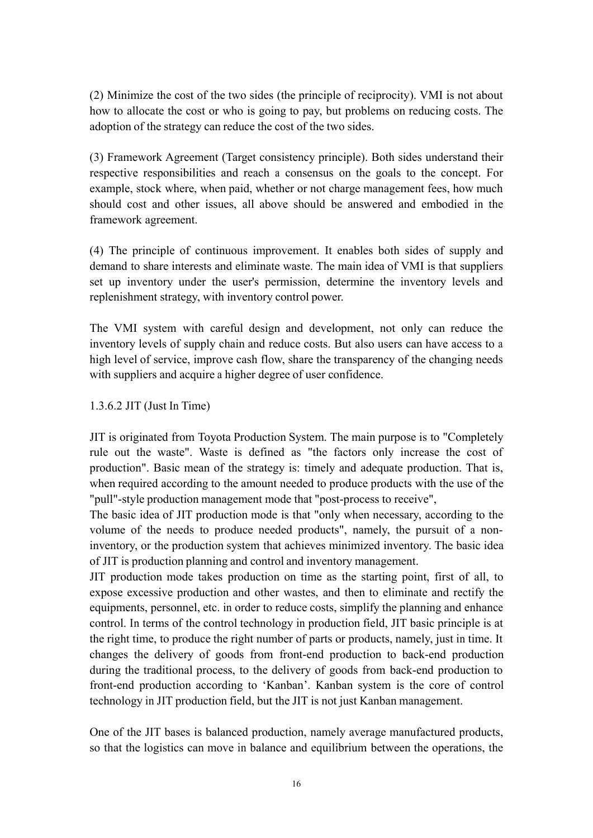(2) Minimize the cost of the two sides (the principle of reciprocity). VMI isnot about how to allocate the cost or who is going to pay, but problems on reducing costs. The adoption of the strategy can reduce the cost of the two sides.

(3) Framework Agreement (Target consistency principle). Both sides understand their respective responsibilities and reach <sup>a</sup> consensus on the goals to the concept. For example, stock where, when paid, whether or not charge management fees, how much should cost and other issues, all above should be answered and embodied in the framework agreement.

(4) The principle of continuous improvement. It enables both sides of supply and demand to share interests and eliminate waste. The main idea of VMI is that suppliers set up inventory under the user's permission, determine the inventory levels and replenishment strategy, with inventory control power.

The VMI system with careful design and development, not only can reduce the inventory levels of supply chain and reduce costs. But also users can have access to <sup>a</sup> high level of service, improve cash flow, share the transparency of the changing needs with suppliers and acquire <sup>a</sup> higher degree of user confidence.

#### 1.3.6.2 JIT (Just In Time)

JIT is originated from Toyota Production System. The main purpose is to "Completely rule out the waste". Waste is defined as "the factors only increase the cost of production". Basic mean of the strategy is: timely and adequate production. That is, when required according to the amount needed to produce products with the use of the "pull"-style production managemen<sup>t</sup> mode that "post-process to receive",

The basic idea of JIT production mode is that "only when necessary, according to the volume of the needs to produce needed products", namely, the pursuit of <sup>a</sup> noninventory, or the production system that achieves minimized inventory. The basic idea of JIT is production planning and control and inventory management.

JIT production mode takes production on time as the starting point, first of all, to expose excessive production and other wastes, and then to eliminate and rectify the equipments, personnel, etc. in order to reduce costs, simplify the planning and enhance control. In terms of the control technology in production field, JIT basic principle is at the right time, to produce the right number of parts or products, namely, just in time. It changes the delivery of goods from front-end production to back-end production during the traditional process, to the delivery of goods from back-end production to front-end production according to 'Kanban'. Kanban system is the core of control technology in JIT production field, but the JIT is not just Kanban management.

One of the JIT bases is balanced production, namely average manufactured products, so that the logistics can move in balance and equilibrium between the operations, the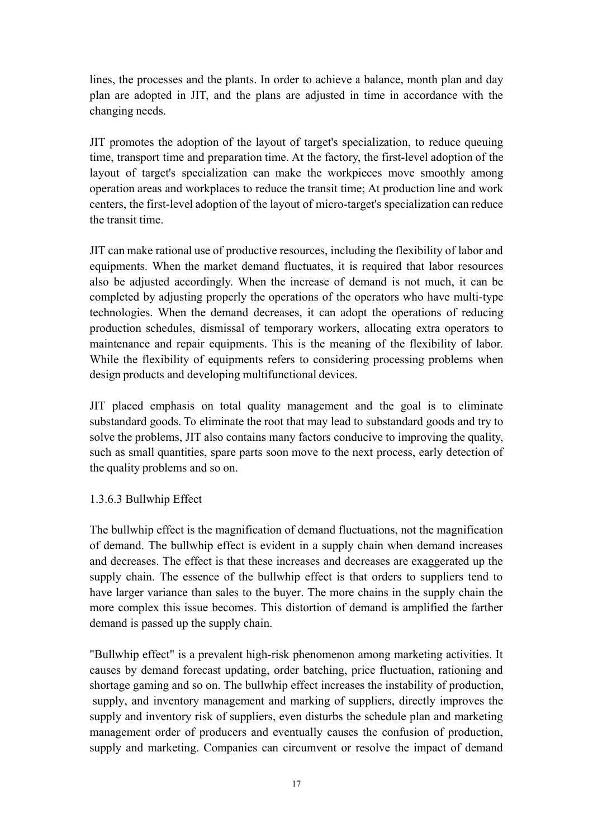lines, the processes and the plants. In order to achieve <sup>a</sup> balance, month plan and day plan are adopted in JIT, and the plans are adjusted in time in accordance with the changing needs.

JIT promotes the adoption of the layout of target's specialization, to reduce queuing time, transport time and preparation time. At the factory, the first-level adoption of the layout of target's specialization can make the workpieces move smoothly among operation areas and workplaces to reduce the transit time; At production line and work centers, the first-level adoption of the layout of micro-target's specialization can reduce the transit time.

JIT can make rational use of productive resources, including the flexibility of labor and equipments. When the market demand fluctuates, it is required that labor resources also be adjusted accordingly. When the increase of demand is not much, it can be completed by adjusting properly the operations of the operators who have multi-type technologies. When the demand decreases, it can adopt the operations of reducing production schedules, dismissal of temporary workers, allocating extra operators to maintenance and repair equipments. This is the meaning of the flexibility of labor. While the flexibility of equipments refers to considering processing problems when design products and developing multifunctional devices.

JIT placed emphasis on total quality managemen<sup>t</sup> and the goal is to eliminate substandard goods. To eliminate the root that may lead to substandard goods and try to solve the problems, JIT also contains many factors conducive to improving the quality, such as small quantities, spare parts soon move to the next process, early detection of the quality problems and so on.

## 1.3.6.3 Bullwhip Effect

The bullwhip effect is the magnification of demand fluctuations, not the magnification of demand. The bullwhip effect is evident in <sup>a</sup> supply chain when demand increases and decreases. The effect is that these increases and decreases are exaggerated up the supply chain. The essence of the bullwhip effect is that orders to suppliers tend to have larger variance than sales to the buyer. The more chains in the supply chain the more complex this issue becomes. This distortion of demand is amplified the farther demand is passed up the supply chain.

"Bullwhip effect" is a prevalent high-risk phenomenon among marketing activities. It causes by demand forecast updating, order batching, price fluctuation, rationing and shortage gaming and so on. The bullwhip effect increases the instability of production, supply, and inventory managemen<sup>t</sup> and marking of suppliers, directly improves the supply and inventory risk of suppliers, even disturbs the schedule plan and marketing managemen<sup>t</sup> order of producers and eventually causes the confusion of production, supply and marketing. Companies can circumvent or resolve the impact of demand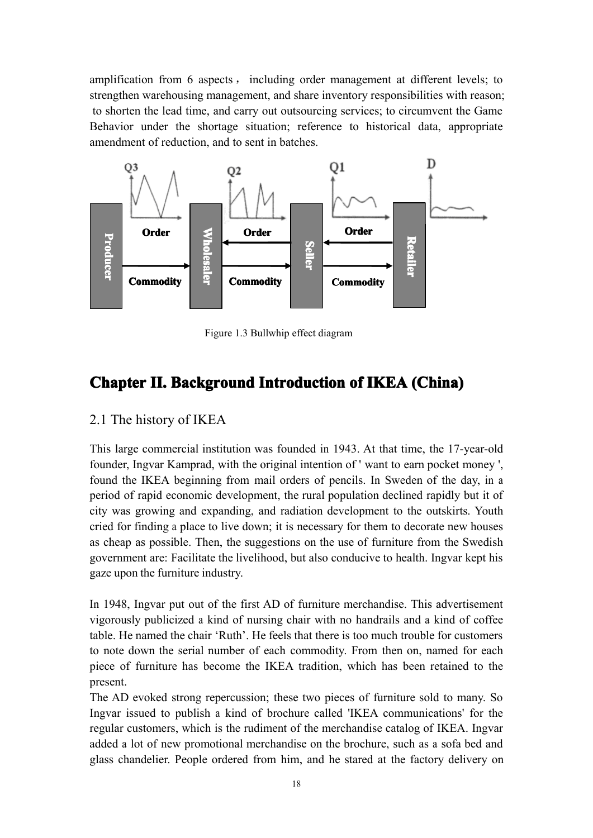amplification from 6 aspects , including order managemen<sup>t</sup> at different levels; to strengthen warehousing management, and share inventory responsibilities with reason; to shorten the lead time, and carry out outsourcing services; to circumvent the Game Behavior under the shortage situation; reference to historical data, appropriate amendment of reduction, and to sent in batches.



Figure 1.3 Bullwhip effect diagram

## <span id="page-27-0"></span>**Chapter Chapter II. Background Background Introduction Introduction Introduction Introductionof IKEA (China) (China)**

## <span id="page-27-1"></span>2.1 The history of IKEA

This large commercial institution was founded in 1943. At that time, the 17-year-old founder, Ingvar Kamprad, with the original intention of ' want to earn pocket money ', found the IKEA beginning from mail orders of pencils. In Sweden of the day, in <sup>a</sup> period of rapid economic development, the rural population declined rapidly but it of city was growing and expanding, and radiation development to the outskirts. Youth cried for finding a place to live down; it is necessary for them to decorate new houses as cheap as possible. Then, the suggestions on the use of furniture from the Swedish governmen<sup>t</sup> are: Facilitate the livelihood, but also conducive tohealth. Ingvar kept his gaze upon the furniture industry.

In 1948, Ingvar pu<sup>t</sup> out of the first AD of furniture merchandise. This advertisement vigorously publicized <sup>a</sup> kind of nursing chair with no handrails and <sup>a</sup> kind of coffee table. He named the chair 'Ruth'. He feels that there is too much trouble for customers to note down the serial number of each commodity. From then on, named for each piece of furniture has become the IKEA tradition, which has been retained to the present.

The AD evoked strong repercussion; these two pieces of furniture sold to many. So Ingvar issued to publish <sup>a</sup> kind of brochure called 'IKEA communications' for the regular customers, which is the rudiment of the merchandise catalog of IKEA. Ingvar added <sup>a</sup> lot of new promotional merchandise on the brochure, such as <sup>a</sup> sofa bed and glass chandelier. People ordered from him, and he stared at the factory delivery on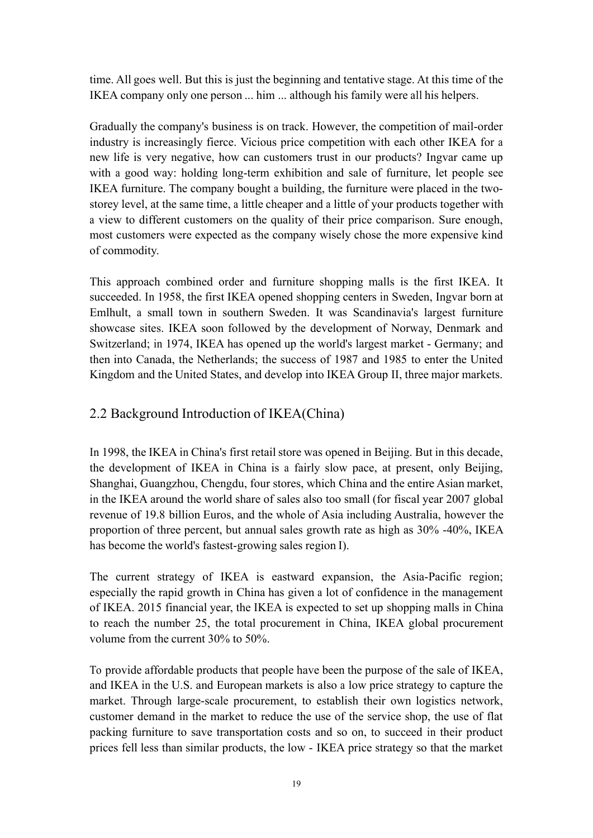time. All goes well. But this is just the beginning and tentative stage. At this time of the IKEA company only one person ... him ... although his family were all his helpers.

Gradually the company's business is on track. However, the competition of mail-order industry is increasingly fierce. Vicious price competition with each other IKEA for <sup>a</sup> new life is very negative, how can customers trust in our products? Ingvar came up with <sup>a</sup> good way: holding long-term exhibition and sale of furniture, let people see IKEA furniture. The company bought <sup>a</sup> building, the furniture were placed in the twostorey level, at the same time, <sup>a</sup> little cheaper and <sup>a</sup> little of your products together with <sup>a</sup> view to different customers on the quality of their price comparison. Sure enough, most customers were expected as the company wisely chose the more expensive kind of commodity.

This approach combined order and furniture shopping malls is the first IKEA. It succeeded. In 1958, the first IKEA opened shopping centers in Sweden, Ingvar born at Emlhult, <sup>a</sup> small town in southern Sweden. It was Scandinavia's largest furniture showcase sites. IKEA soon followed by the development of Norway, Denmark and Switzerland; in 1974, IKEA has opened up the world's largest market - Germany; and then into Canada, the Netherlands; the success of 1987 and 1985 to enter the United Kingdom and the United States, and develop into IKEA Group II, three major markets.

## <span id="page-28-0"></span>2.2 Background Introduction of IKEA(China)

In 1998, the IKEA in China's first retailstore was opened in Beijing. But in this decade, the development of IKEA in China is <sup>a</sup> fairly slow pace, at present, only Beijing, Shanghai, Guangzhou, Chengdu, four stores, which China and the entire Asian market, in the IKEA around the world share of sales also too small (for fiscal year 2007 global revenue of 19.8 billion Euros, and the whole of Asia including Australia, however the proportion of three percent, but annual sales growth rate as high as 30% -40%, IKEA has become the world's fastest-growing sales region I).

The current strategy of IKEA is eastward expansion, the Asia-Pacific region; especially the rapid growth in China has given <sup>a</sup> lot of confidence in the managemen<sup>t</sup> of IKEA. 2015 financial year, the IKEA is expected to set up shopping malls in China to reach the number 25, the total procuremen<sup>t</sup> in China, IKEA global procuremen<sup>t</sup> volume from the current 30% to 50%.

To provide affordable products that peoplehave been the purpose of the sale of IKEA, and IKEA in the U.S. and European markets is also <sup>a</sup> low price strategy to capture the market. Through large-scale procurement, to establish their own logistics network, customer demand in the market to reduce the use of the service shop, the use of flat packing furniture to save transportation costs and so on, to succeed in their product prices fell less thansimilar products, the low - IKEA price strategy so that the market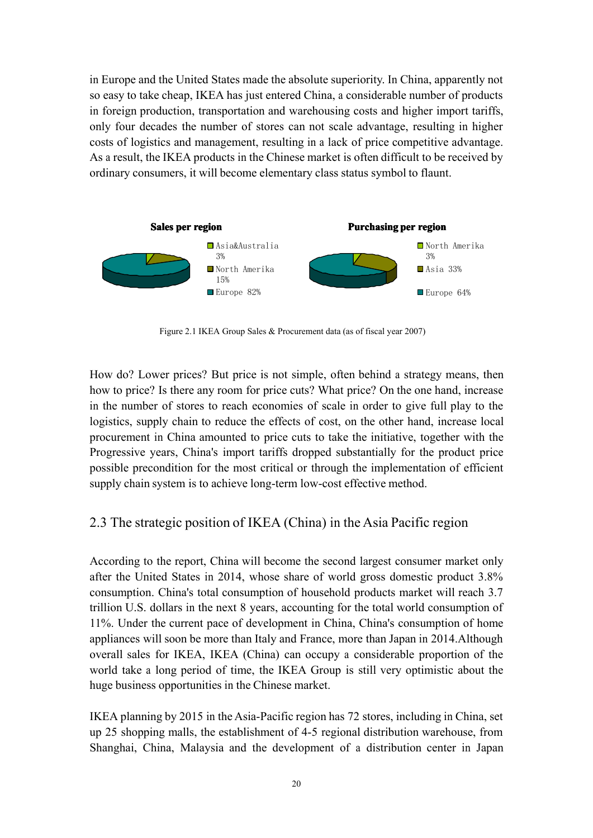in Europe and the United States made the absolute superiority. In China, apparently not so easy to take cheap, IKEA has just entered China, <sup>a</sup> considerable number of products in foreign production, transportation and warehousing costs and higher import tariffs, only four decades the number of stores can not scale advantage, resulting in higher costs of logistics and management, resulting in <sup>a</sup> lack of price competitive advantage. As <sup>a</sup> result, the IKEA products in the Chinese market is often difficult to be received by ordinary consumers, it will become elementary class status symbol to flaunt.



Figure 2.1 IKEA Group Sales & Procurement data (as of fiscal year 2007)

How do? Lower prices? But price is not simple, often behind <sup>a</sup> strategy means, then how to price? Is there any room for price cuts? What price? On the one hand, increase in the number of stores to reach economies of scale in order to give full play to the logistics, supply chain to reduce the effects of cost, on the other hand, increase local procuremen<sup>t</sup> in China amounted to price cuts to take the initiative, together with the Progressive years, China's import tariffs dropped substantially for the product price possible precondition for the most critical or through the implementation of efficient supply chain system is to achieve long-term low-cost effective method.

## <span id="page-29-0"></span>2.3 The strategic position of IKEA (China) in the Asia Pacific region

According to the report, China will become the second largest consumer market only after the United States in 2014, whose share of world gross domestic product 3.8% consumption. China's total consumption of household products market will reach 3.7 trillion U.S. dollars in the next 8 years, accounting for the total world consumption of 11%. Under the current pace of development in China, China's consumption of home appliances will soon be more than Italy and France, more than Japan in 2014.Although overall sales for IKEA, IKEA (China) can occupy <sup>a</sup> considerable proportion of the world take <sup>a</sup> long period of time, the IKEA Group is still very optimistic about the huge business opportunities in the Chinese market.

IKEA planning by 2015 in the Asia-Pacific region has 72 stores, including in China, set up 25 shopping malls, the establishment of 4-5 regional distribution warehouse, from Shanghai, China, Malaysia and the development of <sup>a</sup> distribution center in Japan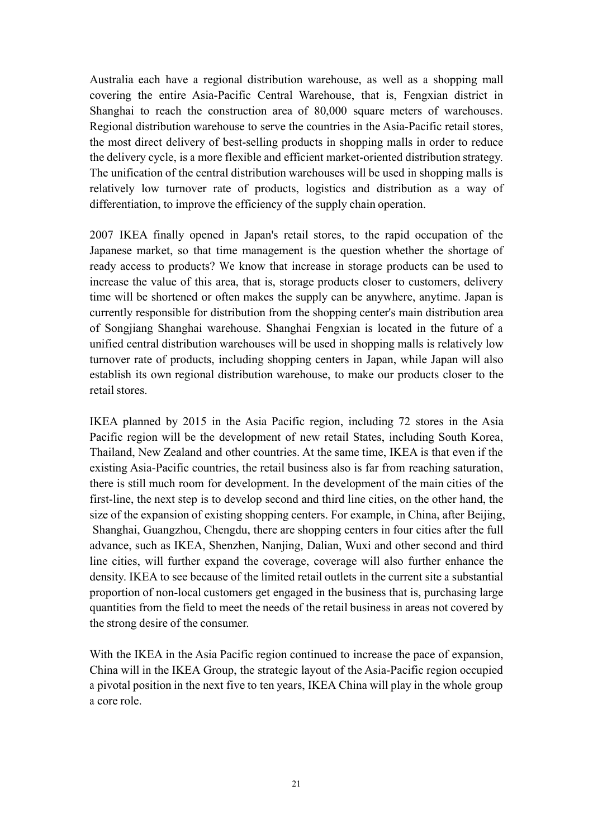Australia each have <sup>a</sup> regional distribution warehouse, as well as <sup>a</sup> shopping mall covering the entire Asia-Pacific Central Warehouse, that is, Fengxian district in Shanghai to reach the construction area of 80,000 square meters of warehouses. Regional distribution warehouse to serve the countries in the Asia-Pacific retail stores, the most direct delivery of best-selling products in shopping malls in order to reduce the delivery cycle, is <sup>a</sup> more flexible and efficient market-oriented distribution strategy. The unification of the central distribution warehouses will be used in shopping malls is relatively low turnover rate of products, logistics and distribution as a way of differentiation, to improve the efficiency of the supply chain operation.

2007 IKEA finally opened in Japan's retail stores, to the rapid occupation of the Japanese market, so that time managemen<sup>t</sup> is the question whether the shortage of ready access to products? We know that increase in storage products can be used to increase the value of this area, that is, storage products closer to customers, delivery time will be shortened or often makes the supply can be anywhere, anytime. Japan is currently responsible for distribution from the shopping center's main distribution area of Songjiang Shanghai warehouse. Shanghai Fengxian is located in the future of <sup>a</sup> unified central distribution warehouses will be used in shopping malls is relatively low turnover rate of products, including shopping centers in Japan, while Japan will also establish its own regional distribution warehouse, to make our products closer to the retail stores.

IKEA planned by 2015 in the Asia Pacific region, including 72 stores in the Asia Pacific region will be the development of new retail States, including South Korea, Thailand, New Zealand and other countries. At the same time, IKEA is that even if the existing Asia-Pacific countries, the retail business also is far from reaching saturation, there is still much room for development. In the development of the main cities of the first-line, the next step is to develop second and third line cities, on the other hand, the size of the expansion of existing shopping centers. For example, in China, after Beijing, Shanghai, Guangzhou, Chengdu, there are shopping centers in four cities after the full advance, such as IKEA, Shenzhen, Nanjing, Dalian, Wuxi and other second and third line cities, will further expand the coverage, coverage will also further enhance the density. IKEA to see because of the limited retail outlets in the current site <sup>a</sup> substantial proportion of non-local customers ge<sup>t</sup> engaged in the business that is, purchasing large quantities from the field to meet the needs of the retail business in areas not covered by the strong desire of the consumer.

<span id="page-30-0"></span>With the IKEA in the Asia Pacific region continued to increase the pace of expansion, China will in the IKEA Group, the strategic layout of the Asia-Pacific region occupied a pivotal position in the next five to ten years, IKEA China will play in the whole group <sup>a</sup> core role.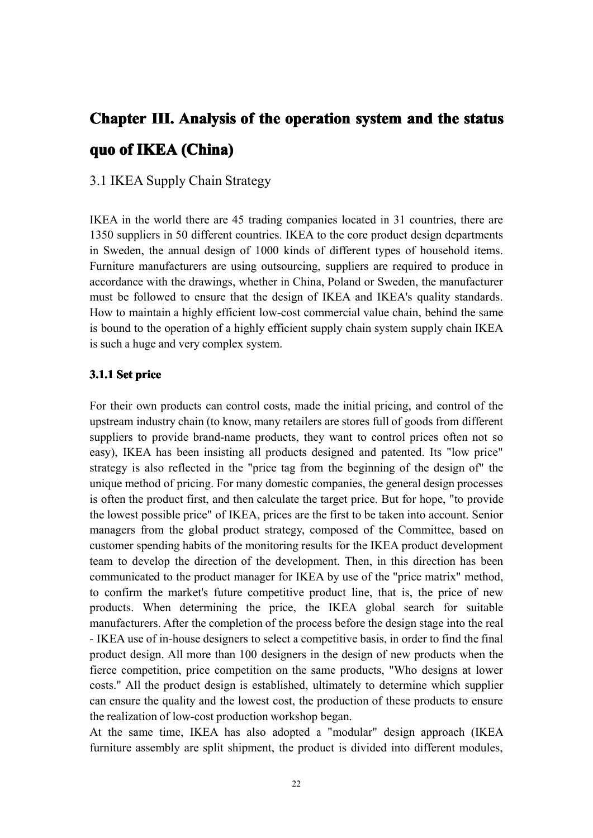# Chapter III. Analysis of the operation system and the status **quo of IKEA(China) (China)**

## <span id="page-31-0"></span>3.1 IKEA Supply Chain Strategy

IKEA in the world there are 45 trading companies located in 31 countries, there are 1350 suppliers in 50 different countries. IKEA to the core product design departments in Sweden, the annual design of 1000 kinds of different types of household items. Furniture manufacturers are using outsourcing, suppliers are required to produce in accordance with the drawings, whether in China, Poland or Sweden, the manufacturer must be followed to ensure that the design of IKEA and IKEA's quality standards. How to maintain <sup>a</sup> highly efficient low-cost commercial value chain, behind the same is bound to the operation of <sup>a</sup> highly efficient supply chain system supply chain IKEA is such <sup>a</sup> huge and very complex system.

#### **3.1.1 Set price**

<span id="page-31-1"></span>For their own products can control costs, made the initial pricing, and control of the upstream industry chain (to know, many retailers are stores full of goods from different suppliers to provide brand-name products, they want to control prices often not so easy), IKEA has been insisting all products designed and patented. Its "low price" strategy is also reflected in the "price tag from the beginning of the design of" the unique method of pricing. For many domestic companies, the general design processes is often the product first, and then calculate the target price. But for hope, "to provide the lowest possible price" of IKEA, prices are the first to be taken into account. Senior managers from the global product strategy, composed of the Committee, based on customer spending habits of the monitoring results for the IKEA product development team to develop the direction of the development. Then, in this direction has been communicated to the product manager for IKEA by use of the "price matrix" method, to confirm the market's future competitive product line, that is, the price of new products. When determining the price, the IKEA global search for suitable manufacturers. After the completion of the process before the design stage into the real - IKEA use of in-house designers to select <sup>a</sup> competitive basis, in order to find the final product design. All more than 100 designers in the design of new products when the fierce competition, price competition on the same products, "Who designs at lower costs." All the product design is established, ultimately to determine which supplier can ensure the quality and the lowest cost, the production of these products to ensure the realization of low-cost production workshop began.

> At the same time, IKEA has also adopted <sup>a</sup> "modular" design approach (IKEA furniture assembly are split shipment, the product is divided into different modules,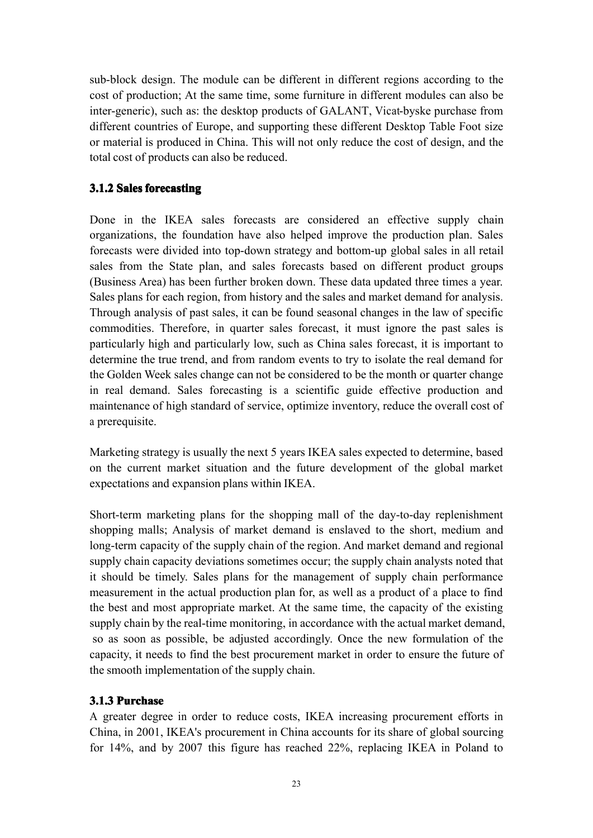sub-block design. The module can be different in different regions according to the cost of production; At the same time, some furniture in different modules can also be inter-generic), such as: the desktop products of GALANT, Vicat-byske purchase from different countries of Europe, and supporting these different Desktop Table Foot size or material is produced in China. This will not only reduce the cost of design, and the total cost of products can also be reduced.

## <span id="page-32-0"></span>**3.1.2 Sales forecasting**

Done in the IKEA sales forecasts are considered an effective supply chain organizations, the foundation have also helped improve the production plan. Sales forecasts were divided into top-down strategy and bottom-up global sales in all retail sales from the State plan, and sales forecasts based on different product groups (Business Area) has been further broken down. These data updated three times <sup>a</sup> year. Sales plans for each region, from history and the sales and market demand for analysis. Through analysis of pas<sup>t</sup> sales, it can be found seasonal changes in the law of specific commodities. Therefore, in quarter sales forecast, it must ignore the pas<sup>t</sup> sales is particularly high and particularly low, such as China sales forecast, it is important to determine the true trend, and from random events to try to isolate the real demand for the Golden Week sales change can not be considered to be the month or quarter change in real demand. Sales forecasting is ascientific guide effective production and maintenance of high standard of service, optimize inventory, reduce the overall cost of <sup>a</sup> prerequisite.

Marketing strategy is usually the next 5 years IKEA sales expected to determine, based on the current market situationand the future development of the global market expectations and expansion plans within IKEA.

Short-term marketing plans for the shopping mall of the day-to-day replenishment shopping malls; Analysis of market demand is enslaved to the short, medium and long-term capacity of the supply chain of the region. And market demand and regional supply chain capacity deviations sometimes occur; the supply chain analysts noted that it should be timely. Sales plans for the managemen<sup>t</sup> of supply chain performance measurement in the actual production plan for, as well as <sup>a</sup> product of <sup>a</sup> place to find the best and most appropriate market. At the same time, the capacity of the existing supply chain by the real-time monitoring, in accordance with the actual market demand, so as soon as possible, be adjusted accordingly. Once the new formulation of the capacity, it needs to find the best procuremen<sup>t</sup> market in order to ensure the future of the smooth implementation of the supply chain.

## <span id="page-32-1"></span>**3.1.3 Purchase**

A greater degree in order to reduce costs, IKEA increasing procuremen<sup>t</sup> efforts in China, in 2001, IKEA's procuremen<sup>t</sup> in China accounts for its share of global sourcing for 14%, and by 2007 this figure has reached 22%, replacing IKEA in Poland to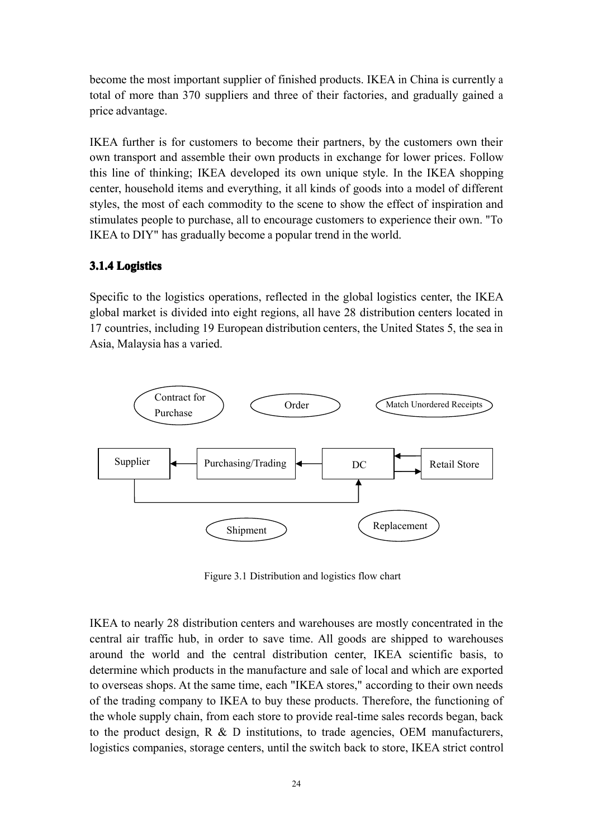become the most important supplier of finished products. IKEA in China is currently <sup>a</sup> total of more than 370 suppliers and three of their factories, and gradually gained <sup>a</sup> price advantage.

IKEA further is for customers to become their partners, by the customers own their own transport and assemble their own products in exchange for lower prices. Follow this line of thinking; IKEA developed its own unique style. In the IKEA shopping center, household items and everything, it all kinds of goods into a model of different styles, the most of each commodity to the scene to show the effect of inspiration and stimulates people to purchase, all to encourage customers to experience their own. "To IKEA to DIY" has gradually become <sup>a</sup> popular trend in the world.

## <span id="page-33-0"></span>**3.1.4 Logistics Logistics**

Specific to the logistics operations, reflected in the global logistics center, the IKEA global market is divided into eight regions, all have 28 distribution centers located in 17 countries, including 19 European distribution centers, the United States 5, the sea in Asia, Malaysia has <sup>a</sup> varied.



Figure 3.1 Distribution and logistics flow chart

IKEA to nearly 28 distribution centers and warehouses are mostly concentrated in the central air traffic hub, in order to save time. All goods are shipped to warehouses around the world and the central distribution center, IKEA scientific basis, to determine which products in the manufacture and sale of local and which are exported to overseas shops. At the same time, each "IKEA stores," according to their own needs of the trading company to IKEA to buy these products. Therefore, the functioning of the whole supply chain, from each store to provide real-time sales records began, back to the product design, R & D institutions, to trade agencies, OEM manufacturers, logistics companies, storage centers, until the switch back to store, IKEA strict control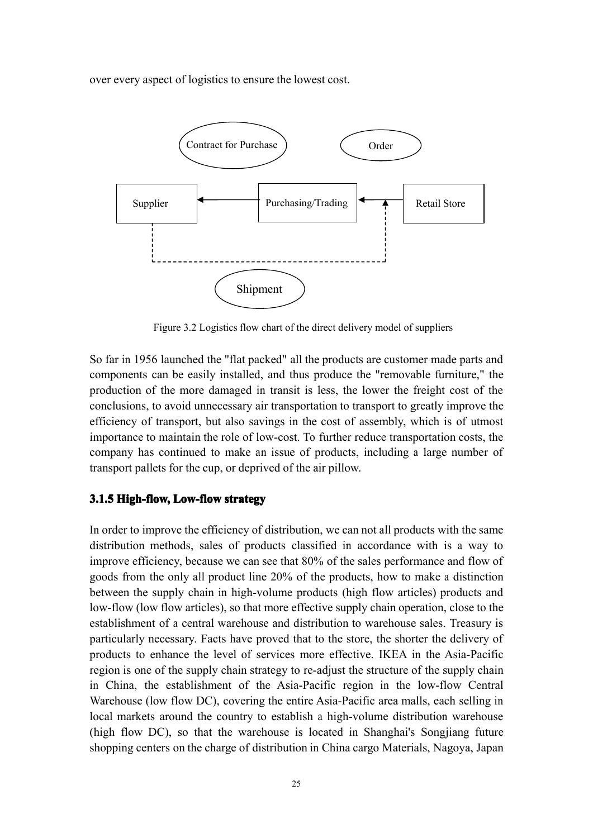over every aspec<sup>t</sup> of logistics to ensure the lowest cost.



Figure 3.2 Logistics flow chart of the direct delivery model of suppliers

So far in 1956 launched the "flat packed" all the products are customer made parts and components can be easily installed, and thus produce the "removable furniture," the production of the more damaged in transit is less, the lower the freight cost of the conclusions, to avoid unnecessary air transportation to transport to greatly improve the efficiency of transport, but also savings in the cost of assembly, which is of utmost importance to maintain the role of low-cost. To further reduce transportation costs, the company has continued to make an issue of products, including <sup>a</sup> large number of transport pallets for the cup, or deprived of the air pillow.

## <span id="page-34-0"></span>**3.1.5 High-flow, High-flow,Low-flow ow-flowow-flow ow-flowstrategy strategy**

In order to improve the efficiency of distribution, we can not all products with the same distribution methods, sales of products classified in accordance with is a way to improve efficiency, because we can see that 80% of the sales performance and flow of goods from the only all product line 20% of the products, how to make <sup>a</sup> distinction between the supply chain in high-volume products (high flow articles) products and low-flow (low flow articles), so that more effective supply chain operation, close to the establishment of <sup>a</sup> central warehouse and distribution to warehouse sales. Treasury is particularly necessary. Facts have proved that to the store, the shorter the delivery of products to enhance the level of services more effective. IKEA in the Asia-Pacific region is one of the supply chain strategy to re-adjust the structure of the supply chain in China, the establishment of the Asia-Pacific region in the low-flow Central Warehouse (low flow DC), covering the entire Asia-Pacific area malls, each selling in local markets around the country to establish <sup>a</sup> high-volume distribution warehouse (high flow DC), so that the warehouse is located in Shanghai's Songjiang future shopping centers on the charge of distribution in China cargo Materials, Nagoya, Japan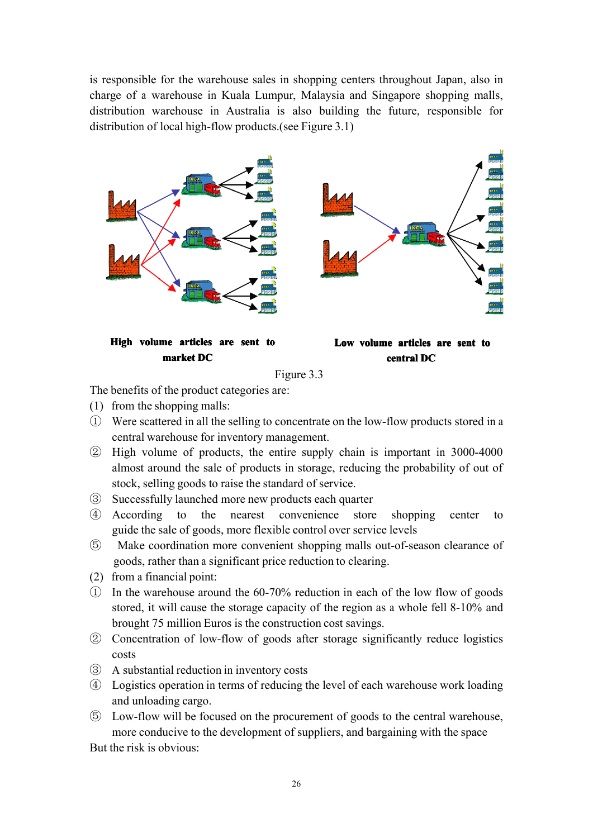is responsible for the warehouse sales in shopping centers throughout Japan, also in charge of <sup>a</sup> warehouse in Kuala Lumpur, Malaysia and Singapore shopping malls, distribution warehouse in Australia is also building the future, responsible for distribution of local high-flow products.(see Figure 3.1)





The benefits of the product categories are:

- (1) from the shopping malls:
- ① Were scattered in all the selling to concentrate on the low-flow products stored in <sup>a</sup> central warehouse for inventory management.
- ② High volume of products, the entire supply chain is important in 3000-4000 almost around the sale of products in storage, reducing the probability of out of stock, selling goods to raise the standard of service.
- ③ Successfully launched more new products each quarter
- ④ According to the nearest convenience store shopping center to guide the sale of goods, more flexible control over service levels
- ⑤ Make coordination more convenient shopping malls out-of-season clearance of goods, rather than <sup>a</sup> significant price reduction to clearing.
- (2) from <sup>a</sup> financial point:
- ① In the warehouse around the 60-70% reduction in each of the low flow of goods stored, it will cause the storage capacity of the region as <sup>a</sup> whole fell 8-10% and brought 75 million Euros is the construction cost savings.
- ② Concentration of low-flow of goods after storage significantly reduce logistics costs
- ③ <sup>A</sup> substantial reduction in inventory costs
- ④ Logistics operation in terms of reducing the level of each warehouse work loading and unloading cargo.
- ⑤ Low-flow will be focused on the procuremen<sup>t</sup> of goods to the central warehouse, more conducive to the development of suppliers, and bargaining with the space

But the risk is obvious: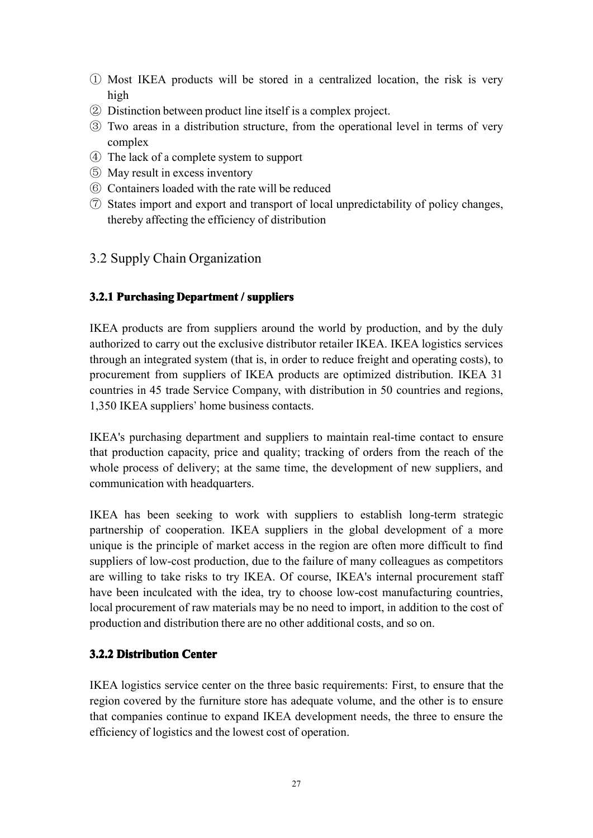- ① Most IKEA products will be stored in <sup>a</sup> centralized location, the risk is very high
- ② Distinction between product line itself isa complex project.
- ③ Two areas in <sup>a</sup> distribution structure, from the operational level in terms of very complex
- ④ The lack of <sup>a</sup> complete system to suppor<sup>t</sup>
- ⑤ May result in excess inventory
- ⑥ Containers loaded with the rate will be reduced
- ⑦ States import and expor<sup>t</sup> and transport of local unpredictability of policy changes, thereby affecting the efficiency of distribution

## <span id="page-36-0"></span>3.2 Supply Chain Organization

## <span id="page-36-1"></span>**3.2.1 Purchasing Department** / suppliers

IKEA products are from suppliers around the world by production, and by the duly authorized to carry out the exclusive distributor retailer IKEA. IKEA logistics services through an integrated system (that is, in order to reduce freight and operating costs), to procuremen<sup>t</sup> from suppliers of IKEA products are optimized distribution. IKEA 31 countries in 45 trade Service Company, with distribution in 50 countries and regions, 1,350 IKEA suppliers' home business contacts.

IKEA's purchasing department and suppliers to maintain real-time contact to ensure that production capacity, price and quality; tracking of orders from the reach of the whole process of delivery; at the same time, the development of new suppliers, and communication with headquarters.

IKEA has been seeking to work with suppliers to establish long-term strategic partnership of cooperation. IKEA suppliers in the global development of <sup>a</sup> more unique is the principle of market access in the region are often more difficult to find suppliers of low-cost production, due to the failure of many colleagues as competitors are willing to take risks to try IKEA. Of course, IKEA's internal procurement staff have been inculcated with the idea, try to choose low-cost manufacturing countries, local procuremen<sup>t</sup> of raw materials maybe no need to import, in addition to the cost of production and distribution there are no other additional costs, and so on.

## <span id="page-36-2"></span>**3.2.2 Distribution Center**

IKEA logistics service center on the three basic requirements: First, to ensure that the region covered by the furniture store has adequate volume, and the other isto ensure that companies continue to expand IKEA development needs, the three to ensure the efficiency of logistics and the lowest cost of operation.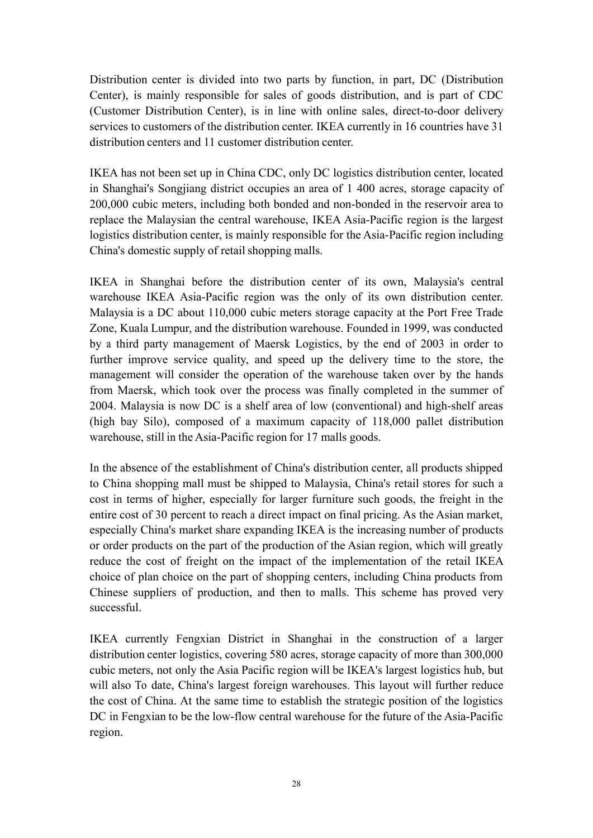Distribution center is divided into two parts by function, in part, DC (Distribution Center), is mainly responsible for sales of goods distribution, and is par<sup>t</sup> of CDC (Customer Distribution Center), is in line with online sales, direct-to-door delivery services to customers of the distribution center. IKEA currently in 16 countries have 31 distribution centers and 11 customer distribution center.

IKEA has not been set up in China CDC, only DC logistics distribution center, located in Shanghai's Songjiang district occupies an area of 1 400 acres, storage capacity of 200,000 cubic meters, including both bonded and non-bonded in the reservoir areato replace the Malaysian the central warehouse, IKEA Asia-Pacific region is the largest logistics distribution center, is mainly responsible for the Asia-Pacific region including China's domestic supply of retail shopping malls.

IKEA in Shanghai before the distribution center of its own, Malaysia's central warehouse IKEA Asia-Pacific region was the only of its own distribution center. Malaysia is <sup>a</sup> DC about 110,000 cubic meters storage capacity at the Port Free Trade Zone, Kuala Lumpur, and the distribution warehouse. Founded in 1999, was conducted by <sup>a</sup> third party managemen<sup>t</sup> of Maersk Logistics, by the end of 2003 in order to further improve service quality, and speed up the delivery time to the store, the managemen<sup>t</sup> will consider the operation of the warehouse taken over by the hands from Maersk, which took over the process was finally completed in the summer of 2004. Malaysia is now DC is <sup>a</sup> shelf area of low (conventional) and high-shelf areas (high bay Silo), composed of <sup>a</sup> maximum capacity of 118,000 pallet distribution warehouse, still in the Asia-Pacific region for 17 malls goods.

In the absence of the establishment of China's distribution center, all products shipped to China shopping mall must be shipped to Malaysia, China's retail stores for such <sup>a</sup> cost in terms of higher, especially for larger furniture such goods, the freight in the entire cost of 30 percen<sup>t</sup> to reach <sup>a</sup> direct impact on final pricing. As the Asian market, especially China's market share expanding IKEA is the increasing number of products or order products on the par<sup>t</sup> of the production of the Asian region, which will greatly reduce the cost of freight on the impact of the implementation of the retail IKEA choice of plan choice on the par<sup>t</sup> of shopping centers, including China products from Chinese suppliers of production, and then to malls. This scheme has proved very successful.

IKEA currently Fengxian District in Shanghai in the construction of <sup>a</sup> larger distribution center logistics, covering 580 acres, storage capacity of more than 300,000 cubic meters, not only the Asia Pacific region will be IKEA's largest logistics hub, but will also To date, China's largest foreign warehouses. This layout will further reduce the cost of China. At the same time to establish the strategic position of the logistics DC in Fengxian to be the low-flow central warehouse for the future of the Asia-Pacific region.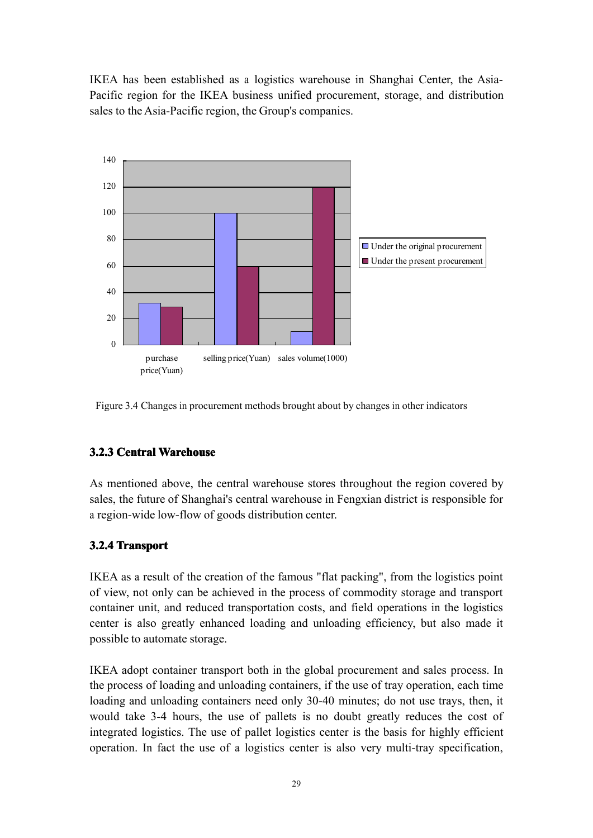IKEA has been established as <sup>a</sup> logistics warehouse in Shanghai Center, the Asia-Pacific region for the IKEA business unified procurement, storage, and distribution sales to the Asia-Pacific region, the Group's companies.



Figure 3.4 Changes in procuremen<sup>t</sup> methods brought about by changes in other indicators

## <span id="page-38-0"></span>**3.2.3 Central Warehouse**

As mentioned above, the central warehouse stores throughout the region covered by sales, the future of Shanghai's central warehouse in Fengxian district is responsible for <sup>a</sup> region-wide low-flow of goods distribution center.

## <span id="page-38-1"></span>**3.2.4 Transport**

IKEA as <sup>a</sup> result of the creation of the famous "flat packing", from the logistics point of view, not only can be achieved in the process of commodity storage and transport container unit, and reduced transportation costs, and field operations in the logistics center is also greatly enhanced loading and unloading efficiency, but also made it possible to automate storage.

IKEA adopt container transport both in the global procuremen<sup>t</sup> and sales process. In the process of loading and unloading containers, if the use of tray operation, each time loading and unloading containers need only 30-40 minutes; do not use trays, then, it would take 3-4 hours, the use of pallets is no doubt greatly reduces the cost of integrated logistics. The use of pallet logistics center is the basis for highly efficient operation. In fact the use of <sup>a</sup> logistics center is also very multi-tray specification,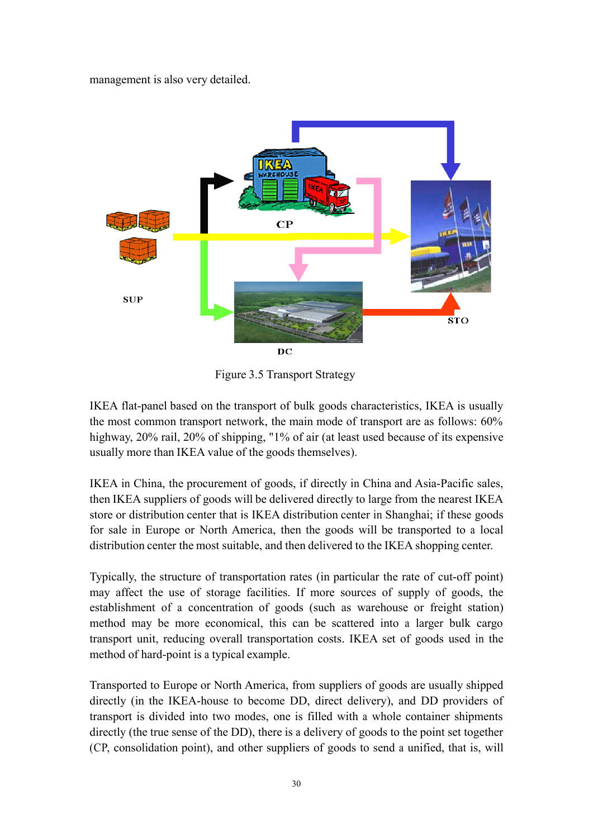managemen<sup>t</sup> is also very detailed.



Figure 3.5 Transport Strategy

IKEA flat-panel based on the transport of bulk goods characteristics, IKEA is usually the most common transport network, the main mode of transport are as follows: 60% highway, 20% rail, 20% of shipping, "1% of air (at least used because of its expensive usually more than IKEA value of the goods themselves).

IKEA in China, the procuremen<sup>t</sup> of goods, if directly in China and Asia-Pacific sales, then IKEA suppliers of goods will be delivered directly to large from the nearest IKEA store or distribution center that is IKEA distribution center in Shanghai; if these goods for sale in Europe or North America, then the goods will be transported to a local distribution center the most suitable, and then delivered to the IKEA shopping center.

Typically, the structure of transportation rates (in particular the rate of cut-off point) may affect the use of storage facilities. If more sources of supply of goods, the establishment of <sup>a</sup> concentration of goods (such as warehouse or freight station) method may be more economical, this can be scattered into <sup>a</sup> larger bulk cargo transport unit, reducing overall transportation costs. IKEA set of goods used in the method of hard-point is <sup>a</sup> typical example.

Transported to Europe or North America, from suppliers of goods are usually shipped directly (in the IKEA-house to become DD, direct delivery), and DD providers of transport is divided into two modes, one is filled with <sup>a</sup> whole container shipments directly (the true sense of the DD), there is <sup>a</sup> delivery of goods to the point set together (CP, consolidation point), and other suppliers of goods to send <sup>a</sup> unified, that is, will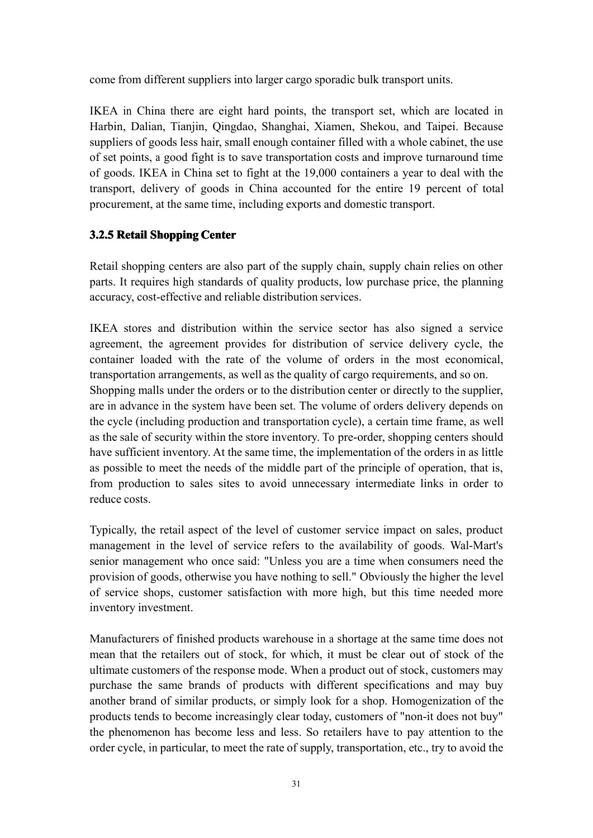come from different suppliers into larger cargo sporadic bulk transport units.

IKEA in China there are eight hard points, the transport set, which are located in Harbin, Dalian, Tianjin, Qingdao, Shanghai, Xiamen, Shekou, and Taipei. Because suppliers of goods less hair, small enough container filled with <sup>a</sup> whole cabinet, the use of set points, <sup>a</sup> good fight is to save transportation costs and improve turnaround time of goods. IKEA in China set to fight at the 19,000 containers <sup>a</sup> year to deal with the transport, delivery of goods in China accounted for the entire 19 percen<sup>t</sup> of total procurement, at the same time, including exports and domestic transport.

## <span id="page-40-0"></span>**3.2.5 Retail Shopping Center**

Retail shopping centers are also part of the supply chain, supply chain relies on other parts. It requires high standards of quality products, low purchase price, the planning accuracy, cost-effective and reliable distribution services.

IKEA stores and distribution within the service sector has also signed a service agreement, the agreemen<sup>t</sup> provides for distribution of service delivery cycle, the container loaded with the rate of the volume of orders in the most economical, transportation arrangements, as well as the quality of cargo requirements, and so on. Shopping malls under the orders or to the distribution center or directly to the supplier, are in advance in the system have been set. The volume of orders delivery depends on the cycle (including production and transportation cycle), <sup>a</sup> certain time frame, as well as the sale of security within the store inventory. To pre-order, shopping centers should have sufficient inventory. At the same time, the implementation of the orders in as little as possible to meet the needs of the middle par<sup>t</sup> of the principle of operation, that is, from production to sales sites to avoid unnecessary intermediate links in order to reduce costs.

Typically, the retail aspec<sup>t</sup> of the level of customer service impact on sales, product managemen<sup>t</sup> in the level of service refers to the availability of goods. Wal-Mart's senior managemen<sup>t</sup> who once said: "Unless you are <sup>a</sup> time when consumers need the provision of goods, otherwise you have nothing to sell." Obviously the higher the level of service shops, customer satisfaction with more high, but this time needed more inventory investment.

Manufacturers of finished products warehouse ina shortage at the same time does not mean that the retailers out of stock, for which, it must be clear out of stock of the ultimate customers of the response mode. When <sup>a</sup> product out of stock, customers may purchase the same brands of products with different specifications andmay buy another brand of similar products, or simply look for <sup>a</sup> shop. Homogenization of the products tends to become increasingly clear today, customers of "non-it does not buy" the phenomenon has become less and less. So retailers have to pay attention to the order cycle, in particular, to meet the rate of supply, transportation, etc., try to avoid the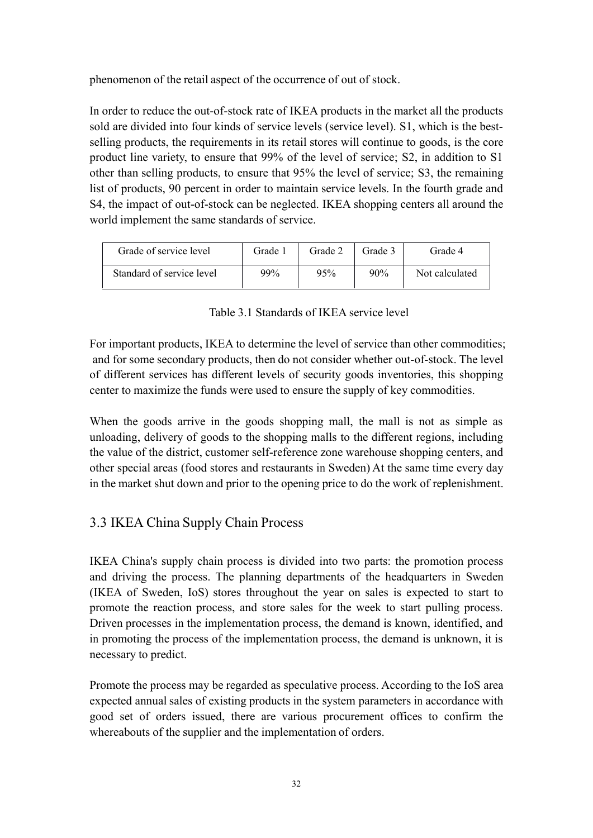phenomenon of the retail aspec<sup>t</sup> of the occurrence of out of stock.

In order to reduce the out-of-stock rate of IKEA products in the market all the products sold are divided into four kinds of service levels (service level). S1, which is the bestselling products, the requirements in its retail stores will continue to goods, is the core product line variety, to ensure that 99% of the level of service; S2, in addition to S1 other than selling products, to ensure that 95% the level of service; S3, the remaining list of products, 90 percen<sup>t</sup> in order to maintain service levels. In the fourth grade and S4, the impact of out-of-stock can be neglected. IKEA shopping centers all around the world implement the same standards of service.

| Grade of service level    | Grade 1 | Grade 2 | Grade 3 | Grade 4        |
|---------------------------|---------|---------|---------|----------------|
| Standard of service level | 99%     | 95%     | $90\%$  | Not calculated |

Table 3.1 Standards of IKEA service level

For important products, IKEA to determine the level of service than other commodities; and for some secondary products, then do not consider whether out-of-stock. The level of different services has different levels of security goods inventories, this shopping center to maximize the funds were used to ensure the supply of key commodities.

When the goods arrive in the goods shopping mall, the mall is not as simple as unloading, delivery of goods to the shopping malls to the different regions, including the value of the district, customer self-reference zone warehouse shopping centers, and other special areas (food stores and restaurants in Sweden) At the same time every day in the market shut down and prior to the opening price todo the work of replenishment.

## <span id="page-41-0"></span>3.3 IKEA China Supply Chain Process

IKEA China's supply chain process is divided into two parts: the promotion process and driving the process. The planning departments of the headquarters in Sweden (IKEA of Sweden, IoS) stores throughout the year on sales is expected to start to promote the reaction process, and store sales for the week to start pulling process. Driven processes in the implementation process, the demand is known, identified, and in promoting the process of the implementation process, the demand is unknown, it is necessary to predict.

Promote the process may be regarded as speculative process. According to the IoS area expected annual sales of existing products in the system parameters in accordance with good set of orders issued, there are various procuremen<sup>t</sup> offices to confirm the whereabouts of the supplier and the implementation of orders.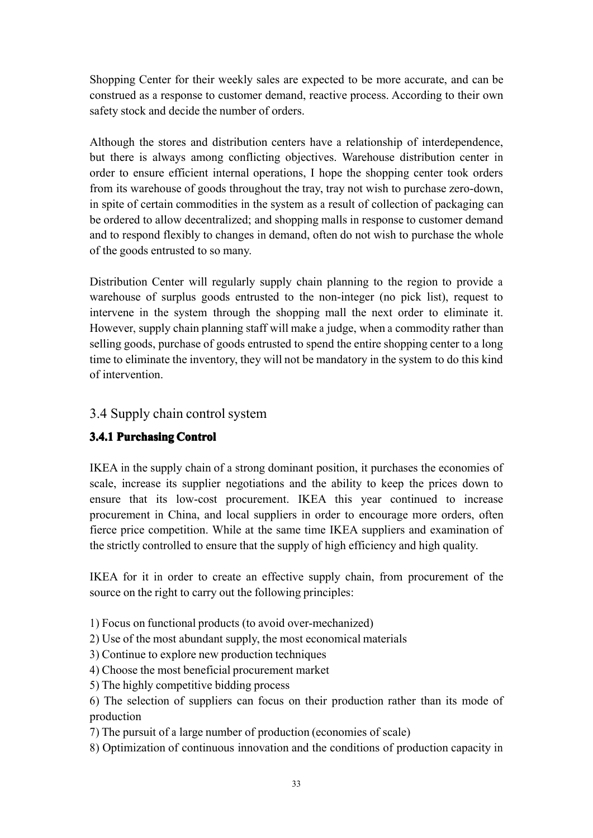Shopping Center for their weekly sales are expected to be more accurate, and can be construed as a response to customer demand, reactive process. According to their own safety stock and decide the number of orders.

Although the stores and distribution centers have <sup>a</sup> relationship of interdependence, but there is always among conflicting objectives. Warehouse distribution center in order to ensure efficient internal operations, I hope the shopping center took orders from its warehouse of goods throughout the tray, tray not wish to purchase zero-down, in spite of certain commodities in the system as <sup>a</sup> result of collection of packaging can be ordered to allow decentralized; and shopping malls in response to customer demand and to respond flexibly to changes in demand, often do not wish to purchase the whole of the goods entrusted to so many.

Distribution Center will regularly supply chain planning to the region to provide <sup>a</sup> warehouse of surplus goods entrusted to the non-integer (no pick list), reques<sup>t</sup> to intervene in the system through the shopping mall the next order to eliminate it. However, supply chain planning staff will make <sup>a</sup> judge, when <sup>a</sup> commodity rather than selling goods, purchase of goods entrusted to spend the entire shopping center to <sup>a</sup> long time to eliminate the inventory, they will not be mandatory in the system to do this kind of intervention.

## <span id="page-42-0"></span>3.4 Supply chain control system

## <span id="page-42-1"></span>**3.4.1 Purchasing Control**

IKEA in the supply chain of <sup>a</sup> strong dominant position, it purchases the economies of scale, increase its supplier negotiations and the ability to keep the prices down to ensure that its low-cost procurement. IKEA this year continued to increase procuremen<sup>t</sup> in China, and local suppliers in order to encourage more orders, often fierce price competition. While at the same time IKEA suppliers and examination of the strictly controlled to ensure that the supply of high efficiency and high quality.

IKEA for it in order to create an effective supply chain, from procuremen<sup>t</sup> of the source on the right to carry out the following principles:

- 1) Focus on functional products (to avoid over-mechanized)
- 2) Use of the most abundant supply, the most economical materials
- 3) Continue to explore new production techniques
- 4) Choose the most beneficial procuremen<sup>t</sup> market
- 5) The highly competitive bidding process

6) The selection of suppliers can focus on their production rather than its mode of production

- 7) The pursuit of <sup>a</sup> large number of production (economies of scale)
- 8) Optimization of continuous innovation and the conditions of production capacity in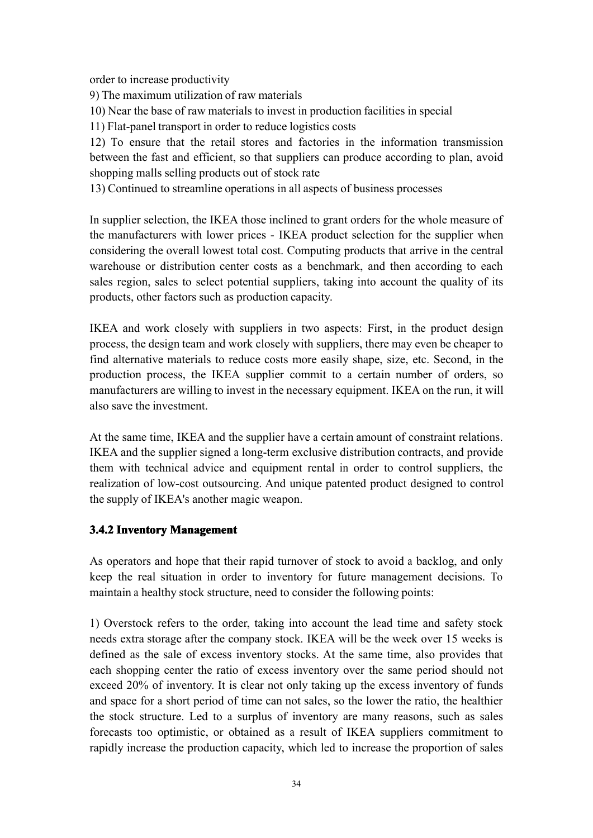order to increase productivity

9) The maximum utilization of raw materials

10) Near the base of raw materials to invest in production facilities in special

11) Flat-panel transport in order to reduce logistics costs

12) To ensure that the retail stores andfactories in the information transmission between the fast and efficient, so that suppliers can produce according to plan, avoid shopping malls selling products out of stock rate

13) Continued to streamline operations in all aspects of business processes

In supplier selection, the IKEA those inclined to gran<sup>t</sup> orders for the whole measure of the manufacturers with lower prices - IKEA product selection for the supplier when considering the overall lowest total cost. Computing products that arrive in the central warehouse or distribution center costs as <sup>a</sup> benchmark, and then according to each sales region, sales to select potential suppliers, taking into account the quality of its products, other factors such as production capacity.

IKEA and work closely with suppliers in two aspects: First, in the product design process, the design team and work closely with suppliers, there may even be cheaper to find alternative materials to reduce costs more easily shape, size, etc. Second, in the production process, the IKEA supplier commit to <sup>a</sup> certain number of orders, so manufacturers are willing to invest in the necessary equipment. IKEA on the run, it will also save the investment.

At the same time, IKEA and the supplier have a certain amount of constraint relations. IKEA and the supplier signed <sup>a</sup> long-term exclusive distribution contracts, and provide them with technical advice and equipment rental in order to control suppliers, the realization of low-cost outsourcing. And unique patented product designed to control the supply of IKEA's another magic weapon.

## <span id="page-43-0"></span>**3.4.2 Inventory Inventory InventoryManagement Management**

As operators and hope that their rapid turnover of stock to avoid <sup>a</sup> backlog, and only keep the real situation in order to inventory for future management decisions. To maintain <sup>a</sup> healthy stock structure, need to consider the following points:

1) Overstock refers to the order, taking into account the lead time and safety stock needs extra storage after the company stock. IKEA will be the week over 15 weeks is defined as the sale of excess inventory stocks. At the same time, also provides that each shopping center the ratio of excess inventory over the same period should not exceed 20% of inventory. It is clear not only taking up the excess inventory of funds and space for <sup>a</sup> short period of time can not sales, so the lower the ratio, the healthier the stock structure. Led to <sup>a</sup> surplus of inventory are many reasons, such as sales forecasts too optimistic, or obtained as <sup>a</sup> result of IKEA suppliers commitment to rapidly increase the production capacity, which led to increase the proportion of sales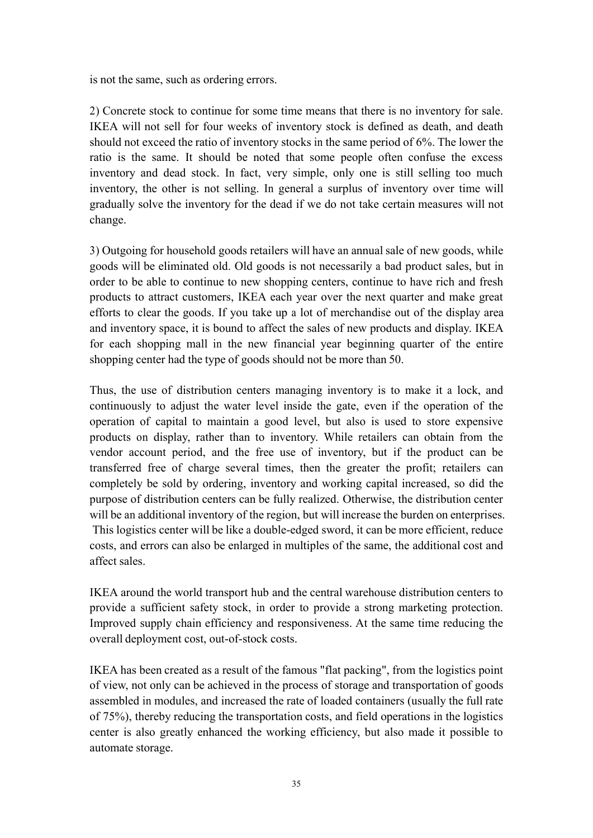is not the same, such as ordering errors.

2) Concrete stock to continue for some time means that there is no inventory for sale. IKEA will not sell for four weeks of inventory stock is defined as death, and death should not exceed the ratio of inventory stocks in the same period of 6%. The lower the ratio is the same. It should be noted that some people often confuse the excess inventory and dead stock. In fact, very simple, only one is still selling too much inventory, the other is not selling. In general <sup>a</sup> surplus of inventory over time will gradually solve the inventory for the dead if we do not take certain measures will not change.

3) Outgoing for household goods retailers will have an annual sale of new goods, while goods will be eliminated old. Old goods is not necessarily <sup>a</sup> bad product sales, but in order to be able to continue to new shopping centers, continue to have rich and fresh products to attract customers, IKEA each year over the next quarter and make grea<sup>t</sup> efforts to clear the goods. If you take up <sup>a</sup> lot of merchandise out of the display area and inventory space, it is bound to affect the sales of new products and display. IKEA for each shopping mall in the new financial year beginning quarter of the entire shopping center had the type of goods should not be more than 50.

Thus, the use of distribution centers managing inventory is to make it <sup>a</sup> lock, and continuously to adjust the water level inside the gate, even if the operation of the operation of capital to maintain <sup>a</sup> good level, but also is used to store expensive products on display, rather than to inventory. While retailers can obtain from the vendor account period, and the free use of inventory, but if the product can be transferred free of charge several times, then the greater the profit; retailers can completely be sold by ordering, inventory and working capital increased, so did the purpose of distribution centers can be fully realized. Otherwise, the distribution center will be an additional inventory of the region, but will increase the burden on enterprises. This logistics center will be like <sup>a</sup> double-edged sword, it can be more efficient, reduce costs, and errors can also be enlarged in multiples of the same, the additional cost and affect sales.

IKEA around the world transport hub and the central warehouse distribution centers to provide <sup>a</sup> sufficient safety stock, in order to provide <sup>a</sup> strong marketing protection. Improved supply chain efficiency and responsiveness. At the same time reducing the overall deployment cost, out-of-stock costs.

IKEA has been created as <sup>a</sup> result of the famous "flat packing", from the logistics point of view, not only can be achieved in the process of storage and transportation of goods assembled in modules, and increased the rate of loaded containers (usually the full rate of 75%), thereby reducing the transportation costs, and field operations in the logistics center is also greatly enhanced the working efficiency, but also made it possible to automate storage.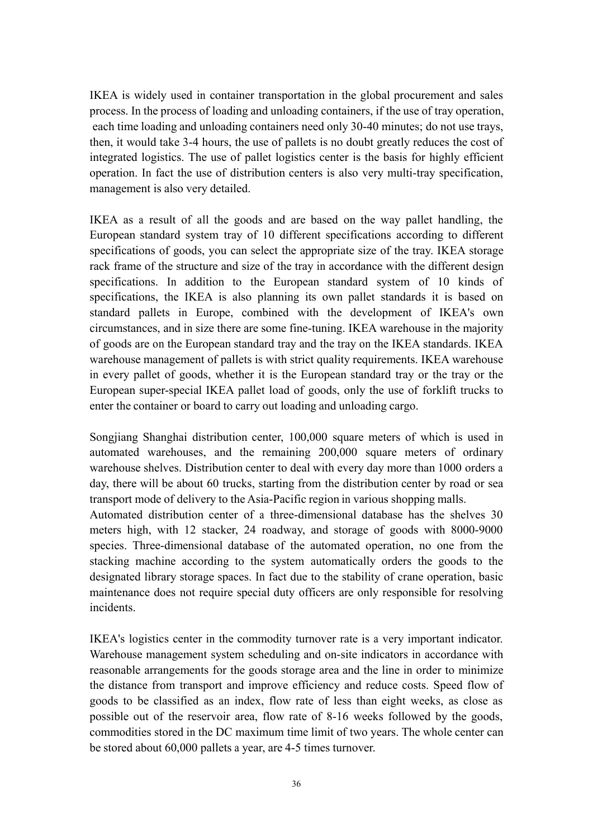IKEA is widely used in container transportation in the global procuremen<sup>t</sup> and sales process. In the process of loading and unloading containers, if the use of tray operation, each time loading and unloading containers need only 30-40 minutes; do not use trays, then, it would take 3-4 hours, the use of pallets is no doubt greatly reduces the cost of integrated logistics. The use of pallet logistics center is the basis for highly efficient operation. In fact the use of distribution centers is alsovery multi-tray specification, managemen<sup>t</sup> is also very detailed.

IKEA as a result of all the goods and are based on the way pallet handling, the European standard system tray of 10 different specifications according to different specifications of goods, you can select the appropriate size of the tray. IKEA storage rack frame of the structure and size of the tray in accordance with the different design specifications. In addition to the European standard system of 10 kinds of specifications, the IKEA is also planning its own pallet standards it is based on standard pallets in Europe, combined with the development of IKEA's own circumstances, and in size there are some fine-tuning. IKEA warehouse in the majority of goods are on the European standard tray and the tray on the IKEA standards. IKEA warehouse managemen<sup>t</sup> of pallets is with strict quality requirements. IKEA warehouse in every pallet of goods, whether it is the European standard tray or the tray or the European super-special IKEA pallet load of goods, only the use of forklift trucks to enter the container or board to carry out loading and unloading cargo.

Songjiang Shanghai distribution center, 100,000 square meters of which is used in automated warehouses, and the remaining 200,000 square meters of ordinary warehouse shelves. Distribution center to deal with every day more than 1000 orders <sup>a</sup> day, there will be about 60 trucks, starting from the distribution center by road or sea transport mode of delivery to the Asia-Pacific region in various shopping malls.

Automated distribution center of <sup>a</sup> three-dimensional database has the shelves 30 meters high, with 12 stacker, 24 roadway, and storage of goods with 8000-9000 species. Three-dimensional database of the automated operation, no one from the stacking machine according to the system automatically orders the goods to the designated library storage spaces. In fact due to the stability of crane operation, basic maintenance does not require special duty officers are only responsible for resolving incidents.

IKEA's logistics center in the commodity turnover rate is <sup>a</sup> very important indicator. Warehouse managemen<sup>t</sup> system scheduling and on-site indicators in accordance with reasonable arrangements for the goods storage area and the line in order to minimize the distance from transport and improve efficiency and reduce costs. Speed flow of goods to be classified as an index, flow rate of less than eight weeks, as close as possible out of the reservoir area, flow rate of 8-16 weeks followed by the goods, commodities stored in the DC maximum time limit of two years. The whole center can be stored about 60,000 pallets <sup>a</sup> year, are 4-5 times turnover.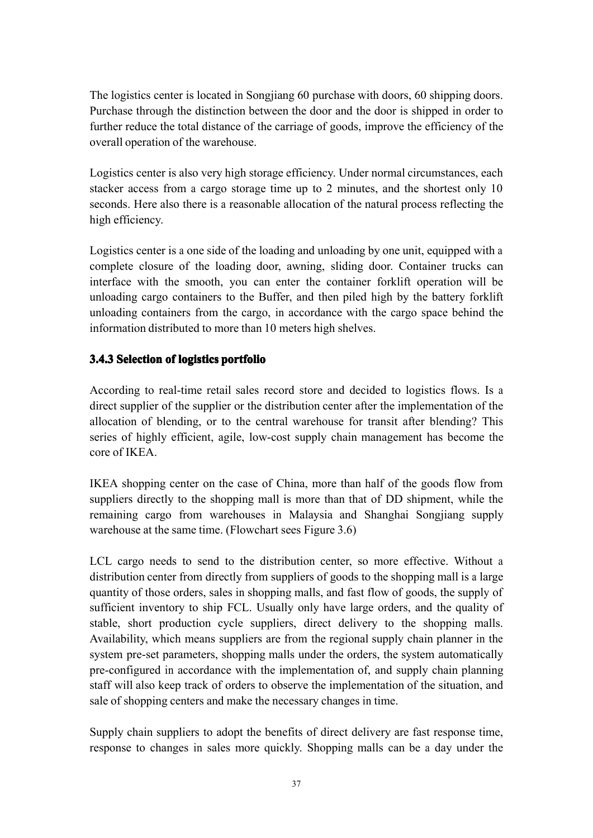The logistics center is located in Songjiang 60 purchase with doors, 60 shipping doors. Purchase through the distinction between the door and the door isshipped in order to further reduce the total distance of the carriage of goods, improve the efficiency of the overall operation of the warehouse.

Logistics center is also very high storage efficiency. Under normal circumstances, each stacker access from a cargo storage time up to 2 minutes, and the shortest only 10 seconds. Here also there is <sup>a</sup> reasonable allocation of the natural process reflecting the high efficiency.

Logistics center is <sup>a</sup> one side of the loading and unloading by one unit, equipped with <sup>a</sup> complete closure of the loading door, awning, sliding door. Container trucks can interface with the smooth, you can enter the container forklift operation will be unloading cargo containers to the Buffer, and then piled high by the battery forklift unloading containers from the cargo, in accordance with the cargo space behind the information distributed to more than 10 meters high shelves.

## <span id="page-46-0"></span>**3.4.3 Selection Selection of logistics logisticslogisticslogistics portfolio portfolioportfolioportfolio**

According to real-time retail sales record store and decided to logistics flows. Is <sup>a</sup> direct supplier of the supplier or the distribution center after the implementation of the allocation of blending, or to the central warehouse for transit after blending? This series of highly efficient, agile, low-cost supply chain managemen<sup>t</sup> has become the core of IKEA.

IKEA shopping center on the case of China, more than half of the goods flow from suppliers directly to the shopping mall is more than that of DD shipment, while the remaining cargo from warehouses in Malaysia and Shanghai Songjiang supply warehouse at the same time. (Flowchart sees Figure 3.6)

LCL cargo needs to send to the distribution center, so more effective. Without <sup>a</sup> distribution center from directly from suppliers of goods to the shopping mall is <sup>a</sup> large quantity of those orders, sales in shopping malls, and fast flow of goods, the supplyof sufficient inventory to ship FCL. Usually only have large orders, and the quality of stable, short production cycle suppliers, direct delivery to the shopping malls. Availability, which means suppliers are from the regional supply chain planner in the system pre-se<sup>t</sup> parameters, shopping malls under the orders, the system automatically pre-configured in accordance with the implementation of, and supply chain planning staff will also keep track of orders to observe the implementation of the situation, and sale of shopping centers and make the necessary changes in time.

Supply chain suppliers to adopt the benefits of direct delivery are fast response time, response to changes in sales more quickly. Shopping malls can be <sup>a</sup> day under the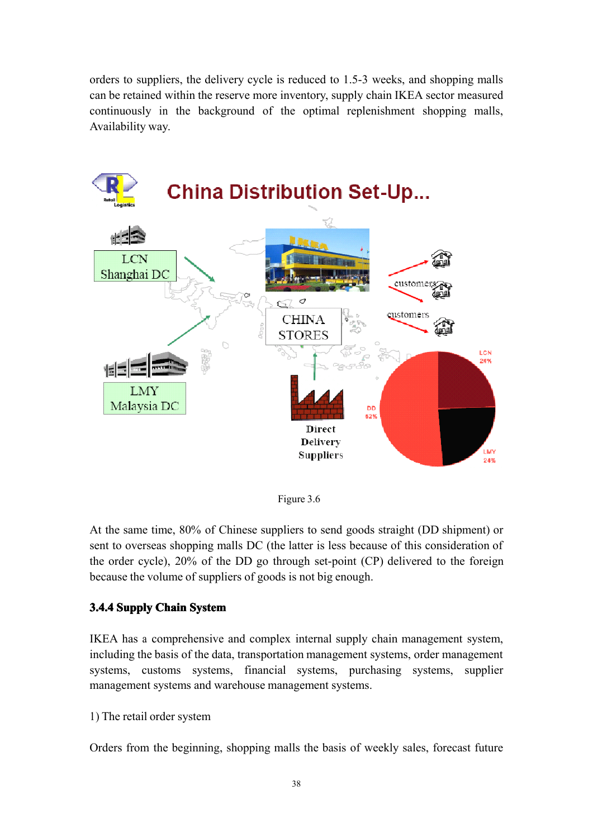orders to suppliers, the delivery cycle is reduced to 1.5-3 weeks, and shopping malls can be retained within the reserve more inventory, supply chain IKEA sector measured continuously in the background of the optimal replenishment shopping malls, Availability way.



Figure 3.6

At the same time, 80% of Chinese suppliers to send goods straight (DD shipment) or sent to overseas shopping malls DC (the latter is less because of this consideration of the order cycle), 20% of the DD go through set-point (CP) delivered to the foreign because the volume of suppliers of goods is not big enough.

## <span id="page-47-0"></span>**3.4.4 Supply Chain System**

IKEA has <sup>a</sup> comprehensive and complex internal supply chain managemen<sup>t</sup> system, including the basis of the data, transportation managemen<sup>t</sup> systems, order managemen<sup>t</sup> systems, customs systems, financial systems, purchasing systems, supplier managemen<sup>t</sup> systems and warehouse managemen<sup>t</sup> systems.

1) The retail order system

Orders from the beginning, shopping malls the basis of weekly sales, forecast future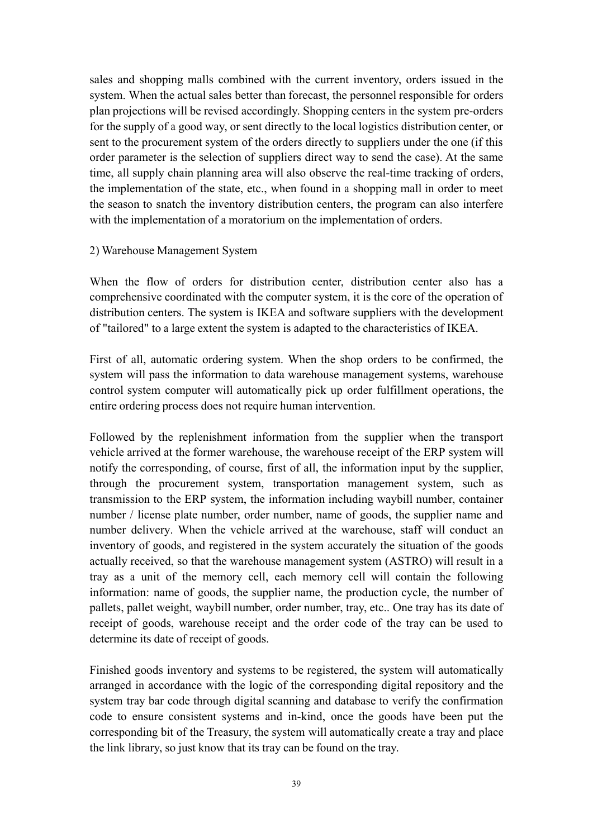sales and shopping malls combined with the current inventory, orders issued in the system. When the actual sales better than forecast, the personnel responsible for orders plan projections will be revised accordingly. Shopping centers in the system pre-orders for the supply of <sup>a</sup> good way, or sent directly to the local logistics distribution center, or sent to the procuremen<sup>t</sup> system of the orders directly to suppliers under the one (if this order parameter is the selection of suppliers direct way to send the case). At the same time, all supply chain planning area will also observe the real-time tracking of orders, the implementation of the state, etc., when found in <sup>a</sup> shopping mall in order to meet the season to snatch the inventory distribution centers, the program can also interfere with the implementation of <sup>a</sup> moratorium on the implementation of orders.

#### 2) Warehouse Management System

When the flow of orders for distribution center, distribution center also has <sup>a</sup> comprehensive coordinated with the computer system, it is the core of the operation of distribution centers. The system is IKEA and software suppliers with the development of "tailored" to <sup>a</sup> large extent the system is adapted to the characteristics of IKEA.

First of all, automatic ordering system. When the shop orders to be confirmed, the system will pass the information to data warehouse managemen<sup>t</sup> systems, warehouse control system computer will automatically pick up order fulfillment operations, the entire ordering process does not require human intervention.

Followed by the replenishment information from the supplier when the transport vehicle arrived at the former warehouse, the warehouse receipt of the ERP system will notify the corresponding, of course, first of all, the information input by the supplier, through the procuremen<sup>t</sup> system, transportation managemen<sup>t</sup> system, such as transmission to the ERP system, the information including waybill number, container number / license plate number, order number, name of goods, the supplier name and number delivery. When the vehicle arrived at the warehouse, staff will conduct an inventory of goods, and registered in the system accurately the situation of the goods actually received, so that the warehouse managemen<sup>t</sup> system (ASTRO) will result in <sup>a</sup> tray as aunit of the memory cell, each memory cell will contain the following information: name of goods, the supplier name, the production cycle, the number of pallets, pallet weight, waybill number, order number, tray, etc.. One tray has its date of receipt of goods, warehouse receipt and the order code of the tray can be used to determine its date of receipt of goods.

Finished goods inventory and systems to be registered, the system will automatically arranged in accordance with the logic of the corresponding digital repository and the system tray bar code through digital scanning and database to verify the confirmation code to ensure consistent systems and in-kind, once the goods have been put the corresponding bit of the Treasury, the system will automatically create <sup>a</sup> tray and place the link library, so just know that its tray can be found on the tray.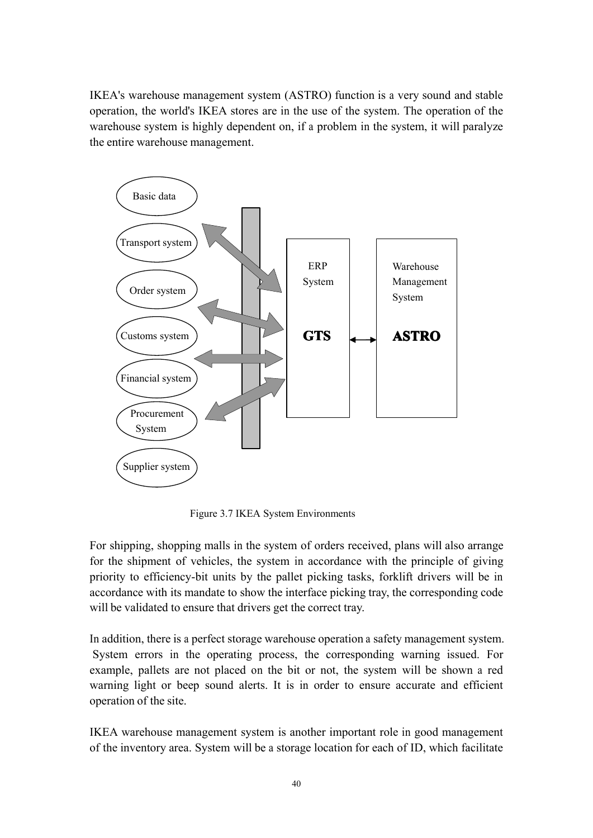IKEA's warehouse managemen<sup>t</sup> system (ASTRO) function is <sup>a</sup> very sound and stable operation, the world's IKEA stores are in the use of the system. The operation of the warehouse system is highly dependent on, if <sup>a</sup> problem in the system, it will paralyze the entire warehouse management.



Figure 3.7 IKEA System Environments

For shipping, shopping malls in the system of orders received, plans will also arrange for the shipment of vehicles, the system in accordance with the principle of giving priority to efficiency-bit units by the pallet picking tasks, forklift drivers will be in accordance with its mandate to show the interface picking tray, the corresponding code will be validated to ensure that drivers ge<sup>t</sup> the correct tray.

In addition, there is <sup>a</sup> perfect storage warehouse operation <sup>a</sup> safety managemen<sup>t</sup> system. System errors in the operating process, the corresponding warning issued. For example, pallets are not placed on the bit or not, the system will be shown <sup>a</sup> red warning light or beep sound alerts. It is in order to ensure accurate and efficient operation of the site.

IKEA warehouse managemen<sup>t</sup> system is another important role in good managemen<sup>t</sup> of the inventory area. System will be <sup>a</sup> storage location for each of ID, which facilitate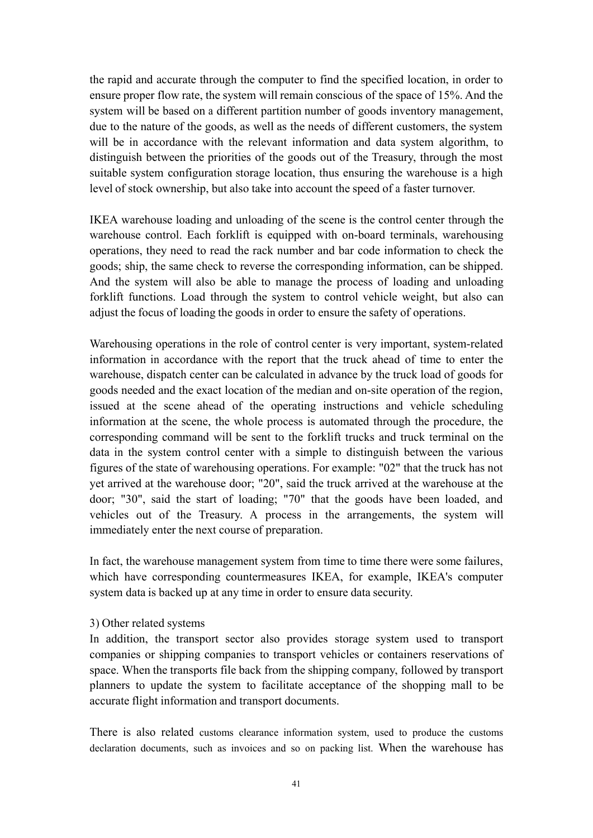the rapid and accurate through the computer to find the specified location, in order to ensure proper flowrate, the system will remain conscious of the space of 15%. And the system will be based on <sup>a</sup> different partition number of goods inventory management, due to the nature of the goods, as well as the needs of different customers, the system will be in accordance with the relevant information and data system algorithm, to distinguish between the priorities of the goods out of the Treasury, through the most suitable system configuration storage location, thus ensuring the warehouse is <sup>a</sup> high level of stock ownership, but also take into account the speedof <sup>a</sup> faster turnover.

IKEA warehouse loading and unloading of the scene is the control center through the warehouse control. Each forklift is equipped with on-board terminals, warehousing operations, they need to read the rack number and bar code information to check the goods; ship, the same check to reverse the corresponding information, can be shipped. And the system will also be able to manage the process of loading and unloading forklift functions. Load through the system to control vehicle weight, but also can adjust the focus of loading the goods in order to ensure the safety of operations.

Warehousing operations in the role of control center is very important, system-related information in accordance with the repor<sup>t</sup> that the truck ahead of time to enter the warehouse, dispatch center can be calculated in advance by the truck load of goods for goods needed and the exact location of the median and on-site operation of the region, issued at the scene ahead of the operating instructions and vehicle scheduling information at the scene, the whole process is automated through the procedure, the corresponding command will be sent to the forklift trucks and truck terminal on the data in the system control center with <sup>a</sup> simple to distinguish between the various figures of the state of warehousing operations. For example: "02" that the truck has not yet arrived at the warehouse door; "20", said the truck arrived at the warehouse at the door; "30", said the start of loading; "70" that the goods have been loaded, and vehicles out of the Treasury. A process in the arrangements, the system will immediately enter the next course of preparation.

In fact, the warehouse management system from time to time there were some failures, which have corresponding countermeasures IKEA, for example, IKEA's computer system data is backed up at any time in order to ensure data security.

#### 3) Other related systems

In addition, the transport sector also provides storage system used to transport companies or shipping companies to transport vehicles or containers reservations of space. When the transports file back from the shipping company, followed by transport planners to update the system to facilitate acceptance of the shopping mall to be accurate flight information and transport documents.

There is also related customs clearance information system, used to produce the customs declaration documents, such as invoices and so on packing list. When the warehouse has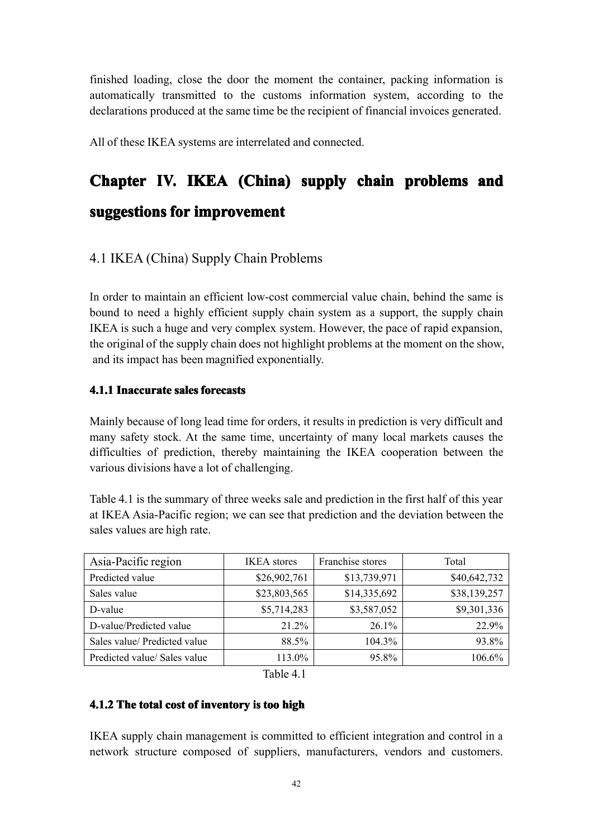finished loading, close the door the moment the container, packing information is automatically transmitted to the customs information system, according to the declarations produced at the same time be the recipient of financial invoices generated.

All of these IKEA systems are interrelated and connected.

# <span id="page-51-0"></span>**Chapter IV. IKEA (China) supply chain problems problemsand**

# **suggestions for improvement**

## <span id="page-51-1"></span>4.1 IKEA (China) Supply Chain Problems

In order to maintain an efficient low-cost commercial value chain, behind the same is bound to need <sup>a</sup> highly efficient supply chain system as <sup>a</sup> support, the supply chain IKEA is such <sup>a</sup> huge and very complex system. However, the pace of rapid expansion, the original of the supply chain does not highlight problems at the moment on the show, and its impact has been magnified exponentially.

## <span id="page-51-2"></span>**4.1.1 Inaccurate Inaccurate sales forecast forecasts**

Mainly because of long lead time for orders, it results inprediction is very difficult and many safety stock. At the same time, uncertainty of many local markets causes the difficulties of prediction, thereby maintaining the IKEA cooperation between the various divisions have <sup>a</sup> lot of challenging.

Table 4.1 is the summary of three weeks sale and prediction in the first half of this year at IKEA Asia-Pacific region; we can see that prediction and the deviation between the sales values are high rate.

| Asia-Pacific region          | <b>IKEA</b> stores | Franchise stores | Total        |
|------------------------------|--------------------|------------------|--------------|
| Predicted value              | \$26,902,761       | \$13,739,971     | \$40,642,732 |
| Sales value                  | \$23,803,565       | \$14,335,692     | \$38,139,257 |
| D-value                      | \$5,714,283        | \$3,587,052      | \$9,301,336  |
| D-value/Predicted value      | 21.2%              | $26.1\%$         | 22.9%        |
| Sales value/ Predicted value | 88.5%              | 104.3%           | 93.8%        |
| Predicted value/ Sales value | 113.0%             | 95.8%            | 106.6%       |

Table 4.1

## <span id="page-51-3"></span>**4.1.2 The total cost of inventory inventoryis too high**

IKEA supply chain managemen<sup>t</sup> is committed to efficient integration and control in <sup>a</sup> network structure composed of suppliers, manufacturers, vendors and customers.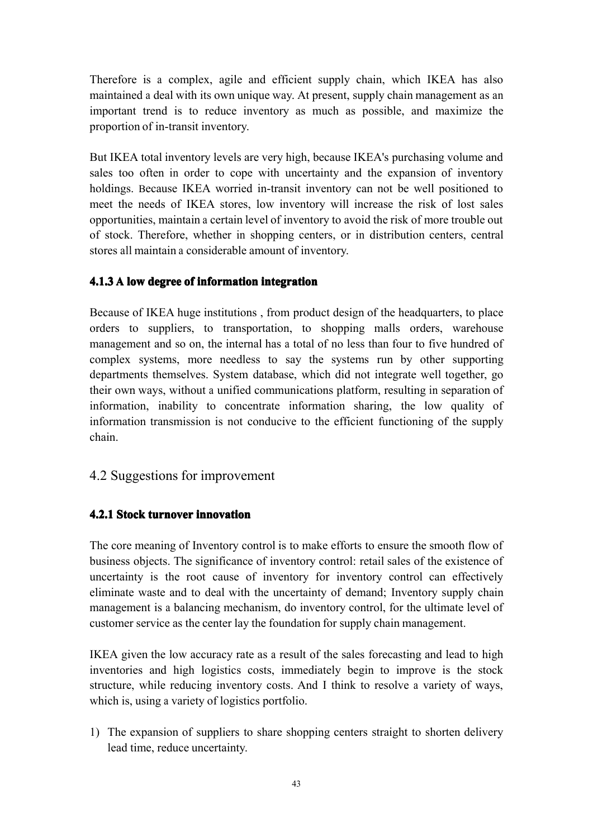Therefore is a complex, agile and efficient supply chain, which IKEA has also maintained <sup>a</sup> deal with its ownunique way. At present, supply chain managemen<sup>t</sup> as an important trend is to reduce inventory as much as possible, and maximize the proportion of in-transit inventory.

But IKEA total inventory levels are very high, because IKEA's purchasing volume and sales too often in order to cope with uncertainty and the expansion of inventory holdings. <sup>B</sup>ecause IKEA worried in-transit inventory can not be well positioned to meet the needs of IKEA stores, low inventory will increase the risk of lost sales opportunities, maintain <sup>a</sup> certain level of inventory to avoid the risk of more trouble out of stock. Therefore, whether in shopping centers, or in distribution centers, central stores all maintain <sup>a</sup> considerable amount of inventory.

## <span id="page-52-0"></span>**4.1.3 A low degree of information information integration integrationintegrationintegration**

Because of IKEA huge institutions , from product design of the headquarters, to place orders to suppliers, to transportation, to shopping malls orders, warehouse managemen<sup>t</sup> and so on, the internal has <sup>a</sup> total of no less than four to five hundred of complex systems, more needless to say the systems run by other supporting departments themselves. System database, which did not integrate well together, go their own ways, without <sup>a</sup> unified communications platform, resulting in separation of information, inability to concentrate information sharing, the low quality of information transmission is not conducive to the efficient functioning of the supply chain.

## <span id="page-52-1"></span>4.2 Suggestions for improvement

## <span id="page-52-2"></span>**4.2.1 Stock turnover innovation innovationinnovationinnovation**

The core meaning of Inventory control is to make efforts to ensure the smooth flow of business objects. The significance of inventory control: retail sales of the existence of uncertainty is the root cause of inventory for inventory control can effectively eliminate waste and to deal with the uncertainty of demand; Inventory supply chain management is a balancing mechanism, do inventory control, for the ultimate level of customer service as the center lay the foundation for supply chain management.

IKEA given the low accuracy rate as <sup>a</sup> result of the sales forecasting and lead to high inventories and high logistics costs, immediately begin to improve is the stock structure, while reducing inventory costs. And I think to resolve <sup>a</sup> variety of ways, which is, using <sup>a</sup> variety of logistics portfolio.

1) The expansion of suppliers to share shopping centers straight to shorten delivery lead time, reduce uncertainty.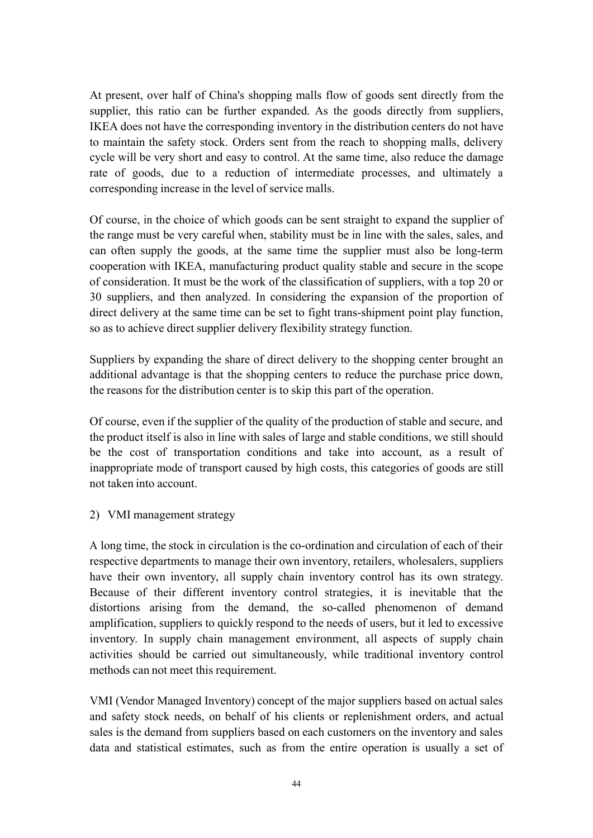At present, over half of China's shopping malls flow of goods sent directly from the supplier, this ratio can be further expanded. As the goods directly from suppliers, IKEA does not have the corresponding inventory in the distribution centers do not have to maintain the safety stock. Orders sent from the reach to shopping malls, delivery cycle will be very short and easy to control. At the same time, also reduce the damage rate of goods, due to <sup>a</sup> reduction of intermediate processes, and ultimately <sup>a</sup> corresponding increase in the level of service malls.

Of course, in the choice of which goods can be sent straight to expand the supplier of the range must be very careful when, stability must be in line with the sales, sales, and can often supply the goods, at the same time the supplier must also be long-term cooperation with IKEA, manufacturing product quality stable and secure in the scope of consideration. It must be the work of the classification of suppliers, with <sup>a</sup> top 20 or 30 suppliers, and then analyzed. In considering the expansion of the proportion of direct delivery at the same time can be set to fight trans-shipment point play function, so as to achieve direct supplier delivery flexibility strategy function.

Suppliers by expanding the share of direct delivery to the shopping center brought an additional advantage is that the shopping centers to reduce the purchase price down, the reasons for the distribution center is to skip this par<sup>t</sup> of the operation.

Of course, even if the supplier of the quality of the production of stable and secure, and the product itself isalso in line with sales of large and stable conditions, we still should be the cost of transportation conditions and take into account, as <sup>a</sup> result of inappropriate mode of transport caused by high costs, this categories of goods are still not taken into account.

2) VMI managemen<sup>t</sup> strategy

A long time, the stock in circulation is the co-ordination and circulation of each of their respective departments to manage their own inventory, retailers, wholesalers, suppliers have their own inventory, all supply chain inventory control has its own strategy. Because of their different inventory control strategies, it is inevitable that the distortions arising from the demand, the so-called phenomenon of demand amplification, suppliers to quickly respond to the needs of users, but it led to excessive inventory. In supply chain management environment, all aspects of supply chain activities should be carried out simultaneously, while traditional inventory control methods can not meet this requirement.

VMI (Vendor Managed Inventory) concep<sup>t</sup> of the major suppliers based on actual sales and safety stock needs, on behalf of his clients or replenishment orders, and actual sales is the demand from suppliers based on each customers on the inventory and sales data and statistical estimates, such as from the entire operation is usually <sup>a</sup> set of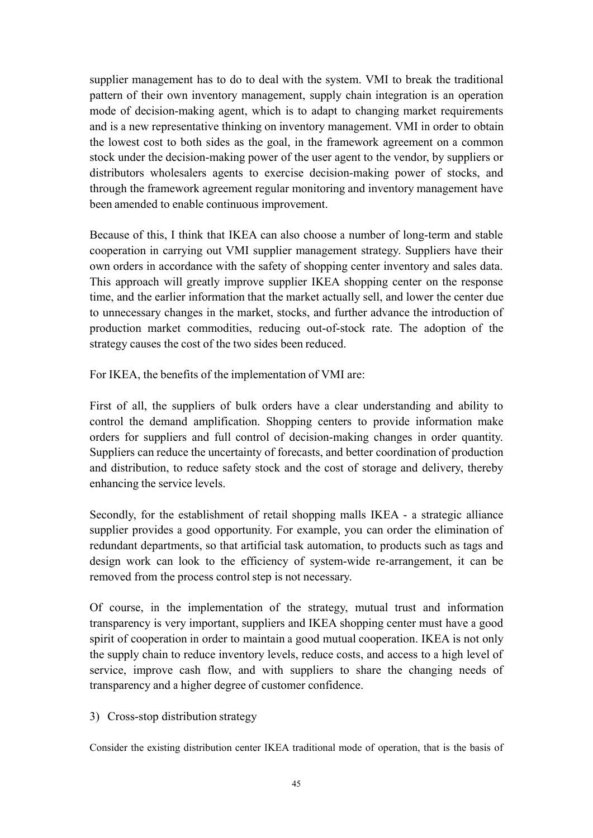supplier managemen<sup>t</sup> has to do to deal with the system. VMI to break the traditional pattern of their own inventory management, supply chain integration is an operation mode of decision-making agent, which is to adapt to changing market requirements and is <sup>a</sup> new representative thinking on inventory management. VMI in order to obtain the lowest cost to both sides as the goal, in the framework agreemen<sup>t</sup> on <sup>a</sup> common stock under the decision-making power of the user agen<sup>t</sup> to the vendor, by suppliers or distributors wholesalers agents to exercise decision-making power of stocks, and through the framework agreemen<sup>t</sup> regular monitoring and inventory managemen<sup>t</sup> have been amended to enable continuous improvement.

Because of this, I think that IKEA can also choose a number of long-term and stable cooperation in carrying out VMI supplier managemen<sup>t</sup> strategy. Suppliers have their own orders in accordance with the safety of shopping center inventory and sales data. This approach will greatly improve supplier IKEA shopping center on the response time, and the earlier information that the market actually sell, and lower the center due to unnecessary changes in the market, stocks, and further advance the introduction of production market commodities, reducing out-of-stock rate. The adoption of the strategy causes the cost of the two sides been reduced.

For IKEA, the benefits of the implementation of VMI are:

First of all, the suppliers of bulk orders have <sup>a</sup> clear understanding and ability to control the demand amplification. Shopping centers to provide information make orders for suppliers and full control of decision-making changes in order quantity. Suppliers can reduce the uncertainty of forecasts, and better coordination of production and distribution, to reduce safety stock and the cost of storage and delivery, thereby enhancing the service levels.

Secondly, for the establishment of retail shopping malls IKEA - <sup>a</sup> strategic alliance supplier provides <sup>a</sup> good opportunity. For example, you can order the elimination of redundant departments, so that artificial task automation, to products such as tags and design work can look to the efficiency of system-wide re-arrangement, it can be removed from the process control step is not necessary.

Of course, in the implementation of the strategy, mutual trust and information transparency is very important, suppliers and IKEA shopping center must have <sup>a</sup> good spirit of cooperation in order to maintain a good mutual cooperation. IKEA is not only the supply chain to reduce inventory levels, reduce costs, and access to <sup>a</sup> high level of service, improve cash flow, and with suppliers to share the changing needs of transparency and <sup>a</sup> higher degree of customer confidence.

3) Cross-stop distribution strategy

Consider the existing distribution center IKEA traditional mode of operation, that is the basis of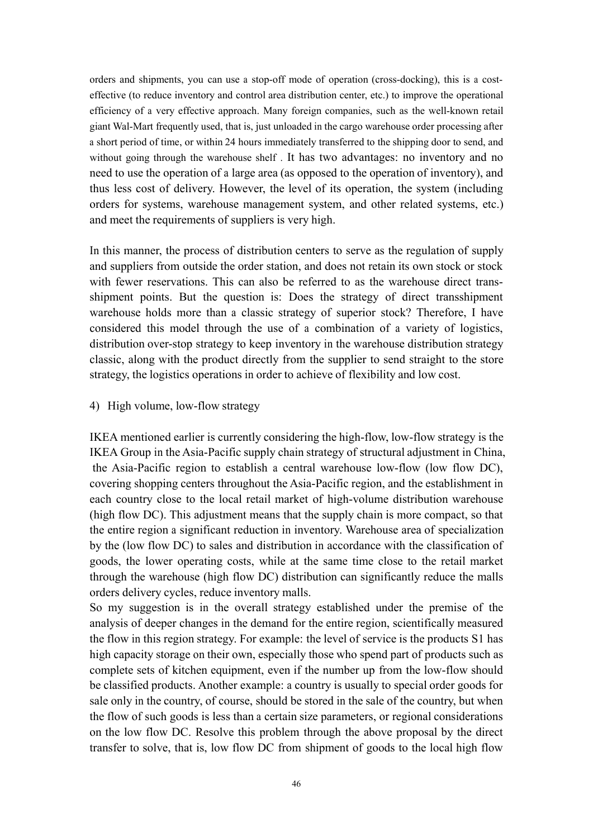orders and shipments, you can use <sup>a</sup> stop-off mode of operation (cross-docking), this is <sup>a</sup> costeffective (to reduce inventory and control area distribution center, etc.) to improve the operational efficiency of <sup>a</sup> very effective approach. Many foreign companies, such as the well-known retail giant Wal-Mart frequently used, that is, just unloadedin the cargo warehouse order processing after <sup>a</sup> short period of time, or within 24 hours immediately transferred to the shipping door to send, and without going through the warehouse shelf . It has two advantages: no inventory and no need to use the operation of <sup>a</sup> large area (as opposed to the operation of inventory), and thus less cost of delivery. However, the level of its operation, the system (including orders for systems, warehouse managemen<sup>t</sup> system, and other related systems, etc.) and meet the requirements of suppliers is very high.

In this manner, the process of distribution centers to serve as the regulation of supply and suppliers from outside the order station, and does not retain its ownstock or stock with fewer reservations. This can also be referred to as the warehouse direct transshipment points. But the question is: Does the strategy of direct transshipment warehouse holds more than <sup>a</sup> classic strategy of superior stock? Therefore, I have considered this model through the use of <sup>a</sup> combination of <sup>a</sup> variety of logistics, distribution over-stop strategy to keep inventory in the warehouse distribution strategy classic, along with the product directly from the supplier to send straight to the store strategy, the logistics operations in order to achieve of flexibility and low cost.

#### 4) High volume, low-flow strategy

IKEA mentioned earlier is currently considering the high-flow, low-flow strategy is the IKEA Group in the Asia-Pacific supply chain strategy of structural adjustment in China, the Asia-Pacific region to establish <sup>a</sup> central warehouse low-flow (low flow DC), covering shopping centers throughout the Asia-Pacific region, and the establishment in each country close to the local retail market of high-volume distribution warehouse (high flow DC). This adjustment means that the supply chain is more compact, so that the entire region <sup>a</sup> significant reduction in inventory. Warehouse area of specialization by the (low flow DC) to sales and distribution in accordance with the classification of goods, the lower operating costs, while at the same time close to the retail market through the warehouse (high flow DC) distribution can significantly reduce the malls orders delivery cycles, reduce inventory malls.

So my suggestion is in the overall strategy established under the premise of the analysis of deeper changes in the demand for the entire region, scientifically measured the flow in this region strategy. For example: the level of service is the products S1 has high capacity storage on their own, especially those who spend par<sup>t</sup> of products such as complete sets of kitchen equipment, even if the number up from the low-flow should be classified products. Another example: <sup>a</sup> country is usually to special order goods for sale only in the country, of course, should be stored in the sale of the country, but when the flow of such goods is less than a certain size parameters, or regional considerations on the low flow DC. Resolve this problem through the above proposal by thedirect transfer to solve, that is, low flow DC from shipment of goods to the local high flow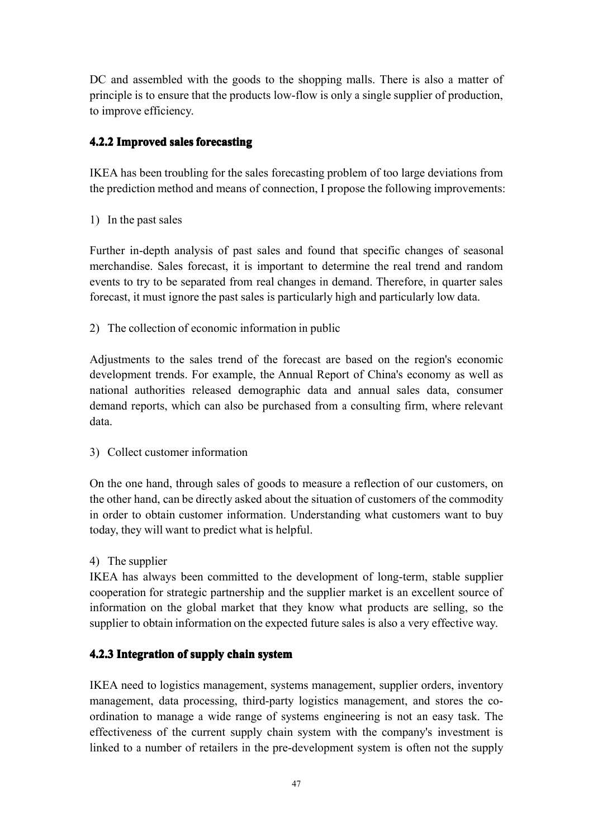DC and assembled with the goods to the shopping malls. There is also <sup>a</sup> matter of principle is to ensure that the products low-flow is only <sup>a</sup> single supplier of production, to improve efficiency.

## <span id="page-56-0"></span>**4.2.2 Improved Improved Improvedsales forecasting**

IKEA has been troubling for the sales forecasting problem of too large deviations from the prediction method and means of connection, I propose the following improvements:

1) In the pas<sup>t</sup> sales

Further in-depth analysis of pas<sup>t</sup> sales and found that specific changes of seasonal merchandise. Sales forecast, it is important to determine the real trend and random events to try to be separated from real changes in demand. Therefore, in quarter sales forecast, it must ignore the pas<sup>t</sup> sales is particularly high and particularly low data.

2) The collection of economic information in public

Adjustments to the sales trend of the forecast are based on the region's economic development trends. For example, the Annual Report of China's economy as well as national authorities released demographic data and annual sales data, consumer demand reports, which can also be purchased from <sup>a</sup> consulting firm, where relevant data.

3) Collect customer information

On the one hand, through sales of goods to measure <sup>a</sup> reflection of our customers, on the other hand, can be directly asked about the situation of customers of the commodity in order to obtain customer information. Understanding what customers want to buy today, they will want to predict what is helpful.

## 4) The supplier

IKEA has always been committed to the development of long-term, stable supplier cooperation for strategic partnership and the supplier market is an excellent source of information on the global market that they know what products are selling, so the supplier to obtain information on the expected future sales is also <sup>a</sup> very effective way.

## <span id="page-56-1"></span>**4.2.3 Integration ntegration of supply chain system**

IKEA need to logistics management, systems management, supplier orders, inventory management, data processing, third-party logistics management, and stores the coordination to manage <sup>a</sup> wide range of systems engineering is not an easy task. The effectiveness of the current supply chain systemwith the company's investment is linked to <sup>a</sup> number of retailers in the pre-development system is often not the supply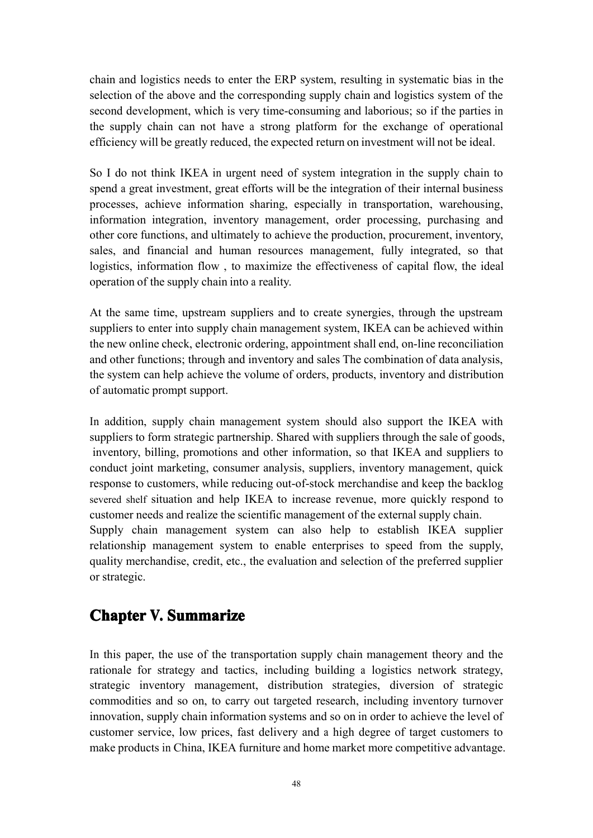chain and logistics needs to enter the ERP system, resulting in systematic bias in the selection of the above and the corresponding supply chain and logistics system of the second development, which is very time-consuming and laborious; so if the parties in the supply chain can not have <sup>a</sup> strong platform for the exchange of operational efficiency will be greatly reduced, the expected return on investment will not be ideal.

So I do not think IKEA in urgen<sup>t</sup> need of system integration in the supply chain to spend <sup>a</sup> grea<sup>t</sup> investment, grea<sup>t</sup> efforts will be the integration of their internal business processes, achieve information sharing, especially in transportation, warehousing, information integration, inventory management, order processing, purchasing and other core functions, and ultimately to achieve the production, procurement, inventory, sales, and financial and human resources management, fully integrated, so that logistics, information flow , to maximize the effectiveness of capital flow, the ideal operation of the supply chain into <sup>a</sup> reality.

At the same time, upstream suppliers and to create synergies, through the upstream suppliers to enter into supply chain managemen<sup>t</sup> system, IKEA can be achieved within the new online check, electronic ordering, appointment shall end, on-line reconciliation and other functions; through and inventory and sales The combination of data analysis, the system can help achieve the volume of orders, products, inventory and distribution of automatic promp<sup>t</sup> support.

In addition, supply chain managemen<sup>t</sup> system should also suppor<sup>t</sup> the IKEA with suppliers to form strategic partnership. Shared with suppliers through the sale of goods, inventory, billing, promotions and other information, so that IKEA and suppliers to conduct joint marketing, consumer analysis, suppliers, inventory management, quick response to customers, while reducing out-of-stock merchandise and keep the backlog severed shelf situation and help IKEA to increase revenue, more quickly respond to customer needs and realize the scientific management of the external supply chain. Supply chain managemen<sup>t</sup> system can also help to establish IKEA supplier relationship managemen<sup>t</sup> system to enable enterprises to speed from the supply, quality merchandise, credit, etc., the evaluation and selection of the preferred supplier or strategic.

## <span id="page-57-0"></span>**Chapter Chapter V. Summarize ummarize ummarize ummarize**

In this paper, the use of the transportation supply chain managemen<sup>t</sup> theory and the rationale for strategy and tactics, including building <sup>a</sup> logistics network strategy, strategic inventory management, distribution strategies, diversion of strategic commodities and so on, to carry out targeted research, including inventory turnover innovation, supply chain information systems and so on in order to achieve the level of customer service, low prices, fast delivery and <sup>a</sup> high degree of target customers to make products in China, IKEA furniture and home market more competitive advantage.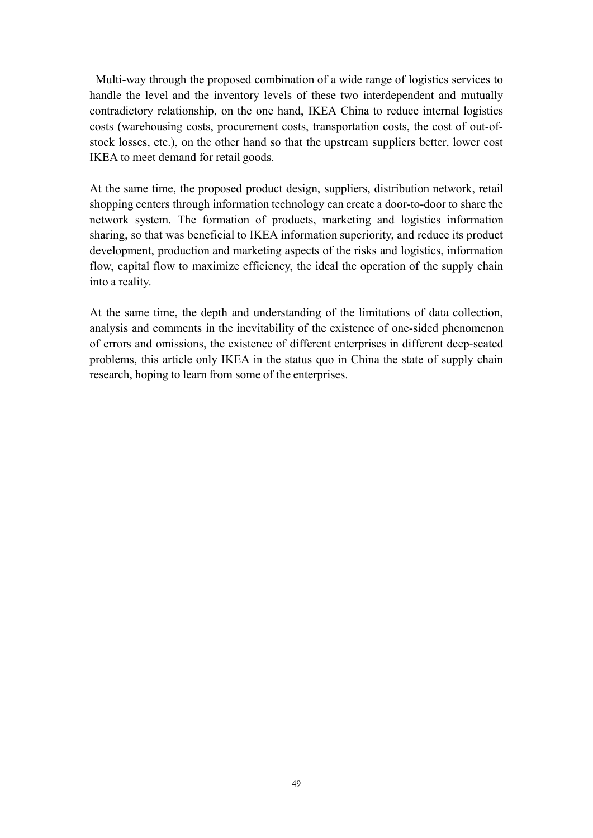Multi-way through the proposed combination of <sup>a</sup> wide range of logistics services to handle the level and the inventory levels of these two interdependent and mutually contradictory relationship, on the one hand, IKEA China to reduce internal logistics costs (warehousing costs, procuremen<sup>t</sup> costs, transportation costs, the cost of out-ofstock losses, etc.), on the other hand so that the upstream suppliers better, lower cost IKEA to meet demand for retail goods.

At the same time, the proposed product design, suppliers, distribution network, retail shopping centers through information technology can create <sup>a</sup> door-to-door to share the network system. The formation of products, marketing and logistics information sharing, so that was beneficial to IKEA information superiority, and reduce its product development, production and marketing aspects of the risks and logistics, information flow, capital flow to maximize efficiency, the ideal the operation of the supply chain into <sup>a</sup> reality.

<span id="page-58-0"></span>At the same time, the depth and understanding of the limitations of data collection, analysis and comments in the inevitability of the existence of one-sided phenomenon of errors and omissions, the existence of different enterprises in different deep-seated problems, this article only IKEA in the status quo in China the state of supplychain research, hoping to learn from some of the enterprises.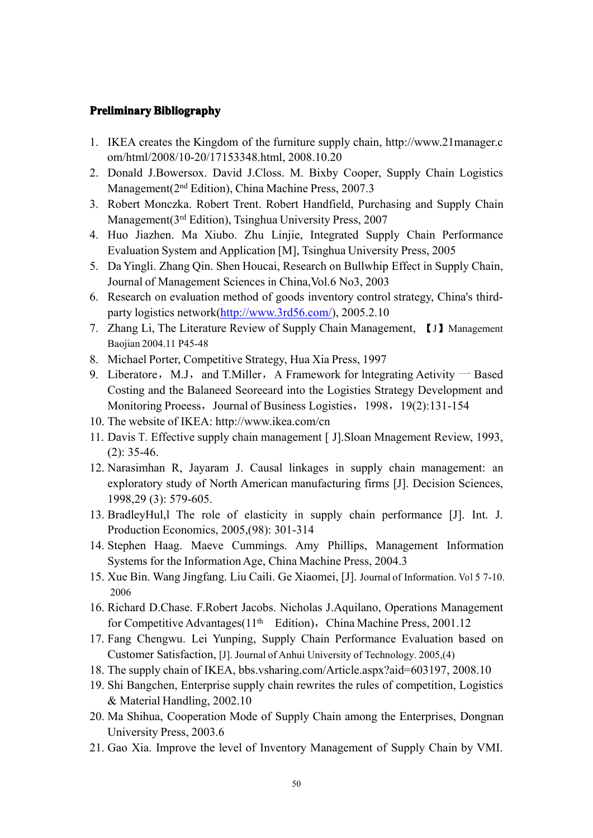#### **Preliminary Bibliography**

- 1. IKEA creates the Kingdom of the furniture supply chain, [http://www.21manager.c](http://www.21manager.com/html/2008/10-20/17153348.html) [om/html/2008/10-20/17153348.html](http://www.21manager.com/html/2008/10-20/17153348.html), 2008.10.20
- 2. Donald J.Bowersox. David J.Closs. M. Bixby Cooper, Supply Chain Logistics Management(2nd Edition), China Machine Press, 2007.3
- 3. Robert Monczka. Robert Trent. Robert Handfield, Purchasing and Supply Chain Management(3rd Edition), Tsinghua University Press, 2007
- 4. Huo Jiazhen. Ma Xiubo. Zhu Linjie, Integrated Supply Chain Performance Evaluation System and Application [M], Tsinghua University Press, 2005
- 5. Da Yingli. Zhang Qin. Shen Houcai, Research on Bullwhip Effect in Supply Chain, Journal of Management Sciences in China,Vol.6 No3, 2003
- 6. Research on evaluation method of goods inventory control strategy, China's thirdparty logistics network[\(http://www.3rd56.com/](http://www.3rd56.com/)), 2005.2.10
- 7. Zhang Li, The Literature Review of Supply Chain Management, 【J】Management Baojian 2004.11 P45-48
- 8. Michael Porter, Competitive Strategy, Hua Xia Press, 1997
- 9. Liberatore, M.J, and T.Miller, A Framework for lntegrating Aetivity  $-$  Based Costing and the Balaneed Seoreeard into the Logisties Strategy Development and Monitoring Proeess, Journal of Business Logisties, 1998, 19(2):131-154
- 10. The website of IKEA: http://www.ikea.com/cn
- 11. Davis T. Effective supply chain managemen<sup>t</sup> [ J].Sloan Mnagement Review, 1993, (2): 35-46.
- 12. Narasimhan R, Jayaram J. Causal linkages in supply chain management: an exploratory study of North American manufacturing firms [J]. Decision Sciences, 1998,29 (3): 579-605.
- 13. BradleyHul,l The role of elasticity in supply chain performance [J]. Int. J. Production Economics, 2005,(98): 301-314
- 14. Stephen Haag. Maeve Cummings. Amy Phillips, Management Information Systems for the Information Age, China Machine Press, 2004.3
- 15. Xue Bin. Wang Jingfang. Liu Caili. Ge Xiaomei, [J]. Journal of Information. Vol 5 7-10. 2006
- 16. Richard D.Chase. F.Robert Jacobs. Nicholas J.Aquilano, Operations Management for Competitive Advantages( $11<sup>th</sup>$  Edition), China Machine Press, 2001.12
- 17. Fang Chengwu. Lei Yunping, Supply Chain Performance Evaluation based on Customer Satisfaction, [J]. Journal of Anhui University of Technology. 2005, (4)
- 18. The supply chain of IKEA, bbs.vsharing.com/Article.aspx?aid=603197, 2008.10
- 19. Shi Bangchen, Enterprise supply chain rewrites the rules of competition, Logistics & Material Handling, 2002.10
- 20. Ma Shihua, Cooperation Mode of Supply Chain among the Enterprises, Dongnan University Press, 2003.6
- 21. Gao Xia. Improve the level of Inventory Management of Supply Chain by VMI.